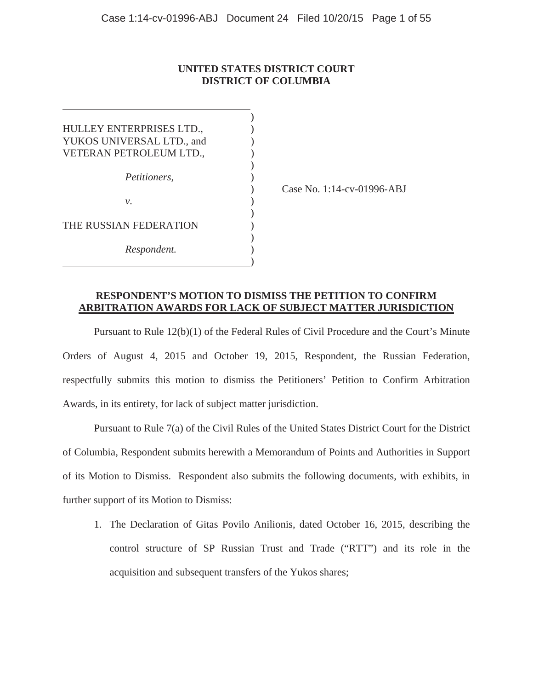## **UNITED STATES DISTRICT COURT DISTRICT OF COLUMBIA**

| HULLEY ENTERPRISES LTD.,  |  |
|---------------------------|--|
| YUKOS UNIVERSAL LTD., and |  |
| VETERAN PETROLEUM LTD.,   |  |
|                           |  |
| Petitioners,              |  |
|                           |  |
| ν.                        |  |
|                           |  |
| THE RUSSIAN FEDERATION    |  |
|                           |  |
| Respondent.               |  |
|                           |  |

) Case No. 1:14-cv-01996-ABJ

## **RESPONDENT'S MOTION TO DISMISS THE PETITION TO CONFIRM ARBITRATION AWARDS FOR LACK OF SUBJECT MATTER JURISDICTION**

Pursuant to Rule 12(b)(1) of the Federal Rules of Civil Procedure and the Court's Minute Orders of August 4, 2015 and October 19, 2015, Respondent, the Russian Federation, respectfully submits this motion to dismiss the Petitioners' Petition to Confirm Arbitration Awards, in its entirety, for lack of subject matter jurisdiction.

Pursuant to Rule 7(a) of the Civil Rules of the United States District Court for the District of Columbia, Respondent submits herewith a Memorandum of Points and Authorities in Support of its Motion to Dismiss. Respondent also submits the following documents, with exhibits, in further support of its Motion to Dismiss:

1. The Declaration of Gitas Povilo Anilionis, dated October 16, 2015, describing the control structure of SP Russian Trust and Trade ("RTT") and its role in the acquisition and subsequent transfers of the Yukos shares;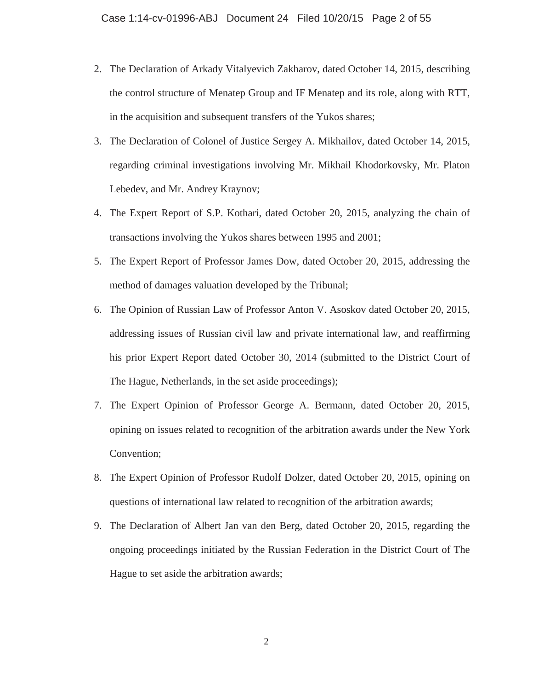- 2. The Declaration of Arkady Vitalyevich Zakharov, dated October 14, 2015, describing the control structure of Menatep Group and IF Menatep and its role, along with RTT, in the acquisition and subsequent transfers of the Yukos shares;
- 3. The Declaration of Colonel of Justice Sergey A. Mikhailov, dated October 14, 2015, regarding criminal investigations involving Mr. Mikhail Khodorkovsky, Mr. Platon Lebedev, and Mr. Andrey Kraynov;
- 4. The Expert Report of S.P. Kothari, dated October 20, 2015, analyzing the chain of transactions involving the Yukos shares between 1995 and 2001;
- 5. The Expert Report of Professor James Dow, dated October 20, 2015, addressing the method of damages valuation developed by the Tribunal;
- 6. The Opinion of Russian Law of Professor Anton V. Asoskov dated October 20, 2015, addressing issues of Russian civil law and private international law, and reaffirming his prior Expert Report dated October 30, 2014 (submitted to the District Court of The Hague, Netherlands, in the set aside proceedings);
- 7. The Expert Opinion of Professor George A. Bermann, dated October 20, 2015, opining on issues related to recognition of the arbitration awards under the New York Convention;
- 8. The Expert Opinion of Professor Rudolf Dolzer, dated October 20, 2015, opining on questions of international law related to recognition of the arbitration awards;
- 9. The Declaration of Albert Jan van den Berg, dated October 20, 2015, regarding the ongoing proceedings initiated by the Russian Federation in the District Court of The Hague to set aside the arbitration awards;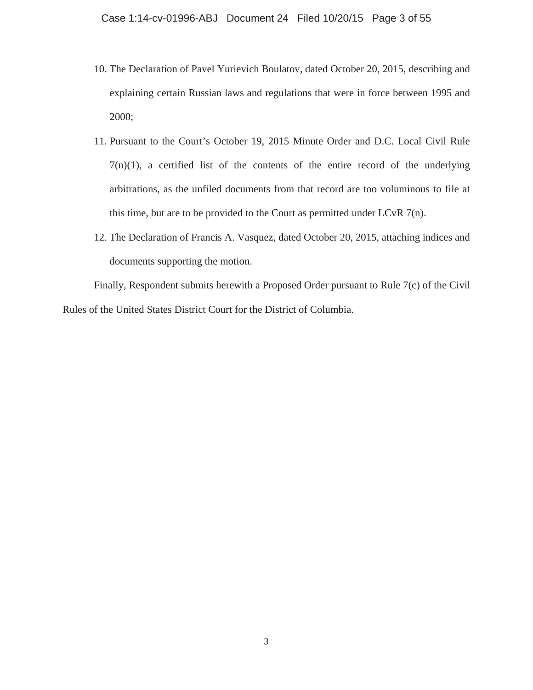- 10. The Declaration of Pavel Yurievich Boulatov, dated October 20, 2015, describing and explaining certain Russian laws and regulations that were in force between 1995 and 2000;
- 11. Pursuant to the Court's October 19, 2015 Minute Order and D.C. Local Civil Rule  $7(n)(1)$ , a certified list of the contents of the entire record of the underlying arbitrations, as the unfiled documents from that record are too voluminous to file at this time, but are to be provided to the Court as permitted under LCvR  $7(n)$ .
- 12. The Declaration of Francis A. Vasquez, dated October 20, 2015, attaching indices and documents supporting the motion.

Finally, Respondent submits herewith a Proposed Order pursuant to Rule 7(c) of the Civil Rules of the United States District Court for the District of Columbia.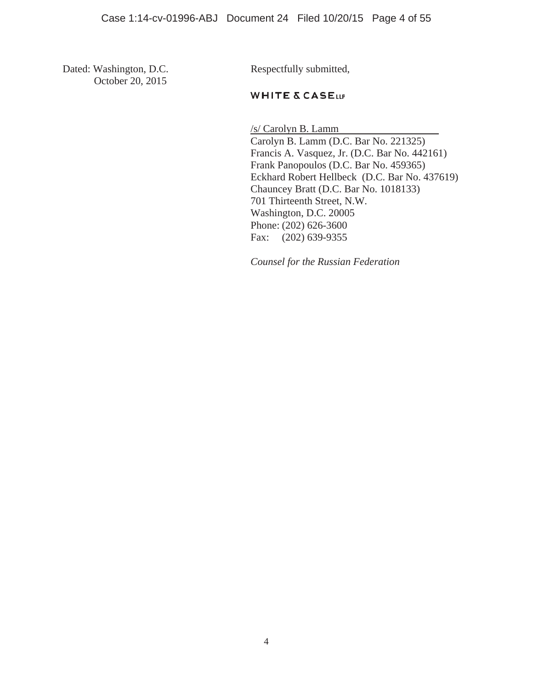Dated: Washington, D.C. Respectfully submitted, October 20, 2015

# **WHITE & CASELLP**

 /s/ Carolyn B. Lamm Carolyn B. Lamm (D.C. Bar No. 221325) Francis A. Vasquez, Jr. (D.C. Bar No. 442161) Frank Panopoulos (D.C. Bar No. 459365) Eckhard Robert Hellbeck (D.C. Bar No. 437619) Chauncey Bratt (D.C. Bar No. 1018133) 701 Thirteenth Street, N.W. Washington, D.C. 20005 Phone: (202) 626-3600 Fax: (202) 639-9355

*Counsel for the Russian Federation*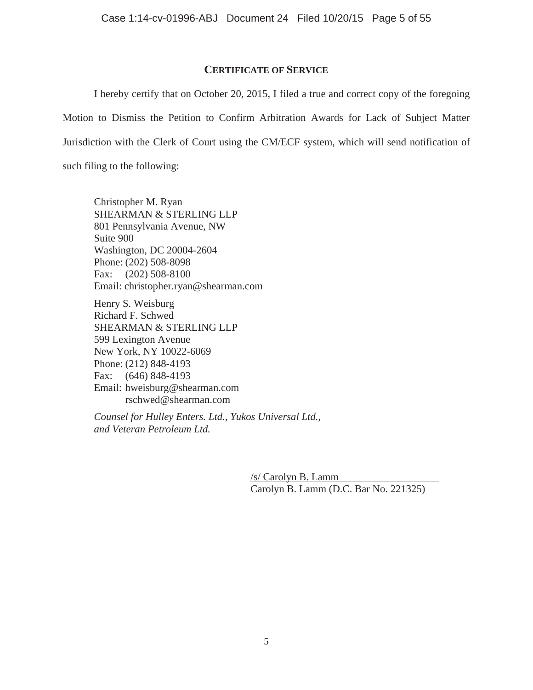# **CERTIFICATE OF SERVICE**

I hereby certify that on October 20, 2015, I filed a true and correct copy of the foregoing Motion to Dismiss the Petition to Confirm Arbitration Awards for Lack of Subject Matter Jurisdiction with the Clerk of Court using the CM/ECF system, which will send notification of such filing to the following:

Christopher M. Ryan SHEARMAN & STERLING LLP 801 Pennsylvania Avenue, NW Suite 900 Washington, DC 20004-2604 Phone: (202) 508-8098 Fax: (202) 508-8100 Email: christopher.ryan@shearman.com

Henry S. Weisburg Richard F. Schwed SHEARMAN & STERLING LLP 599 Lexington Avenue New York, NY 10022-6069 Phone: (212) 848-4193 Fax: (646) 848-4193 Email: hweisburg@shearman.com rschwed@shearman.com

*Counsel for Hulley Enters. Ltd., Yukos Universal Ltd., and Veteran Petroleum Ltd.* 

> /s/ Carolyn B. Lamm Carolyn B. Lamm (D.C. Bar No. 221325)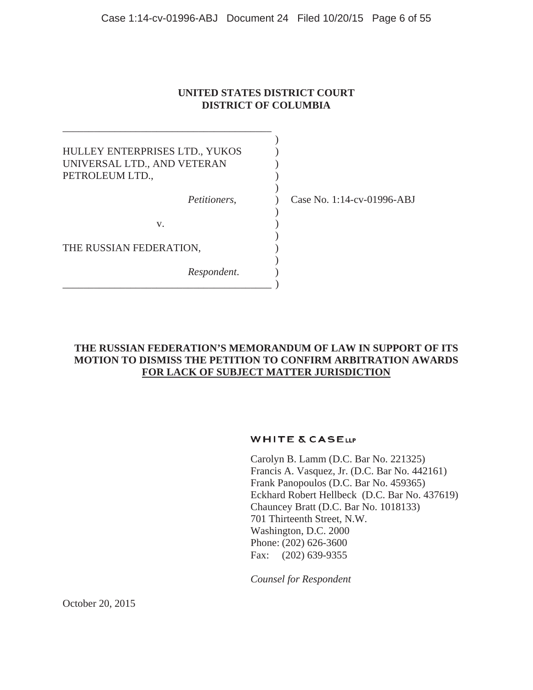# **UNITED STATES DISTRICT COURT DISTRICT OF COLUMBIA**

| HULLEY ENTERPRISES LTD., YUKOS<br>UNIVERSAL LTD., AND VETERAN<br>PETROLEUM LTD., |                            |
|----------------------------------------------------------------------------------|----------------------------|
| Petitioners,                                                                     | Case No. 1:14-cv-01996-ABJ |
| V.                                                                               |                            |
| THE RUSSIAN FEDERATION,                                                          |                            |
| Respondent.                                                                      |                            |

\_\_\_\_\_\_\_\_\_\_\_\_\_\_\_\_\_\_\_\_\_\_\_\_\_\_\_\_\_\_\_\_\_\_\_\_\_\_\_\_

# **THE RUSSIAN FEDERATION'S MEMORANDUM OF LAW IN SUPPORT OF ITS MOTION TO DISMISS THE PETITION TO CONFIRM ARBITRATION AWARDS FOR LACK OF SUBJECT MATTER JURISDICTION**

## **WHITE & CASELLP**

Carolyn B. Lamm (D.C. Bar No. 221325) Francis A. Vasquez, Jr. (D.C. Bar No. 442161) Frank Panopoulos (D.C. Bar No. 459365) Eckhard Robert Hellbeck (D.C. Bar No. 437619) Chauncey Bratt (D.C. Bar No. 1018133) 701 Thirteenth Street, N.W. Washington, D.C. 2000 Phone: (202) 626-3600 Fax: (202) 639-9355

*Counsel for Respondent*

October 20, 2015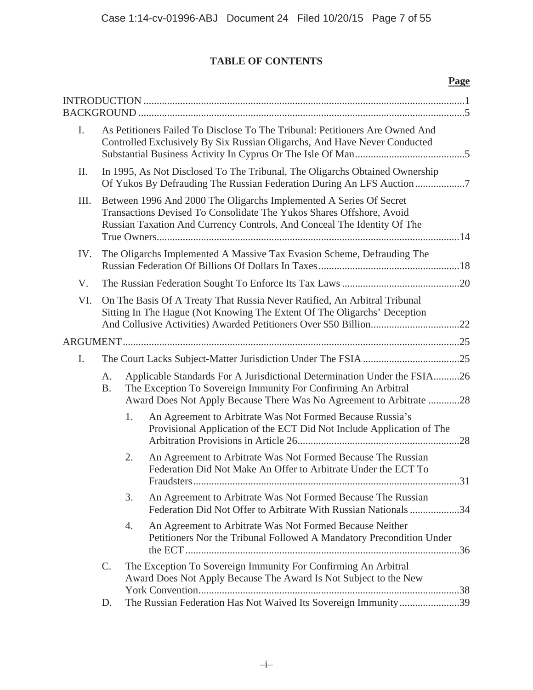# **TABLE OF CONTENTS**

|     |                                                                                                                                                                                                                       |    |                                                                                                                                                                                                                   | Page |
|-----|-----------------------------------------------------------------------------------------------------------------------------------------------------------------------------------------------------------------------|----|-------------------------------------------------------------------------------------------------------------------------------------------------------------------------------------------------------------------|------|
| I.  | As Petitioners Failed To Disclose To The Tribunal: Petitioners Are Owned And<br>Controlled Exclusively By Six Russian Oligarchs, And Have Never Conducted                                                             |    |                                                                                                                                                                                                                   |      |
| Π.  | In 1995, As Not Disclosed To The Tribunal, The Oligarchs Obtained Ownership<br>Of Yukos By Defrauding The Russian Federation During An LFS Auction                                                                    |    |                                                                                                                                                                                                                   |      |
| Ш.  | Between 1996 And 2000 The Oligarchs Implemented A Series Of Secret<br>Transactions Devised To Consolidate The Yukos Shares Offshore, Avoid<br>Russian Taxation And Currency Controls, And Conceal The Identity Of The |    |                                                                                                                                                                                                                   |      |
| IV. | The Oligarchs Implemented A Massive Tax Evasion Scheme, Defrauding The                                                                                                                                                |    |                                                                                                                                                                                                                   |      |
| V.  |                                                                                                                                                                                                                       |    |                                                                                                                                                                                                                   |      |
| VI. |                                                                                                                                                                                                                       |    | On The Basis Of A Treaty That Russia Never Ratified, An Arbitral Tribunal<br>Sitting In The Hague (Not Knowing The Extent Of The Oligarchs' Deception                                                             |      |
|     |                                                                                                                                                                                                                       |    |                                                                                                                                                                                                                   |      |
| I.  |                                                                                                                                                                                                                       |    |                                                                                                                                                                                                                   |      |
|     | A.<br><b>B.</b>                                                                                                                                                                                                       |    | Applicable Standards For A Jurisdictional Determination Under the FSIA26<br>The Exception To Sovereign Immunity For Confirming An Arbitral<br>Award Does Not Apply Because There Was No Agreement to Arbitrate 28 |      |
|     |                                                                                                                                                                                                                       | 1. | An Agreement to Arbitrate Was Not Formed Because Russia's<br>Provisional Application of the ECT Did Not Include Application of The                                                                                |      |
|     |                                                                                                                                                                                                                       | 2. | An Agreement to Arbitrate Was Not Formed Because The Russian<br>Federation Did Not Make An Offer to Arbitrate Under the ECT To                                                                                    |      |
|     |                                                                                                                                                                                                                       | 3. | An Agreement to Arbitrate Was Not Formed Because The Russian<br>Federation Did Not Offer to Arbitrate With Russian Nationals 34                                                                                   |      |
|     |                                                                                                                                                                                                                       | 4. | An Agreement to Arbitrate Was Not Formed Because Neither<br>Petitioners Nor the Tribunal Followed A Mandatory Precondition Under                                                                                  |      |
|     | C.                                                                                                                                                                                                                    |    | The Exception To Sovereign Immunity For Confirming An Arbitral<br>Award Does Not Apply Because The Award Is Not Subject to the New                                                                                |      |
|     | D.                                                                                                                                                                                                                    |    | The Russian Federation Has Not Waived Its Sovereign Immunity39                                                                                                                                                    |      |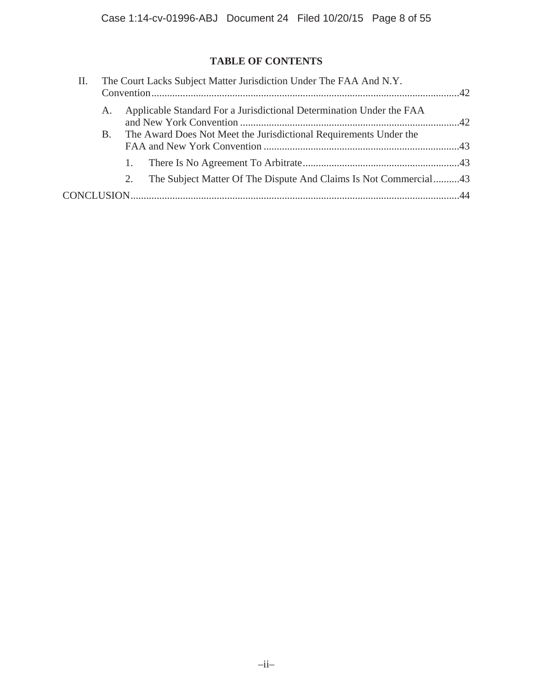# **TABLE OF CONTENTS**

| П. |    | The Court Lacks Subject Matter Jurisdiction Under The FAA And N.Y. |                                                                      |  |
|----|----|--------------------------------------------------------------------|----------------------------------------------------------------------|--|
|    | A. |                                                                    | Applicable Standard For a Jurisdictional Determination Under the FAA |  |
|    |    |                                                                    | B. The Award Does Not Meet the Jurisdictional Requirements Under the |  |
|    |    |                                                                    |                                                                      |  |
|    |    | 2.                                                                 | The Subject Matter Of The Dispute And Claims Is Not Commercial43     |  |
|    |    |                                                                    |                                                                      |  |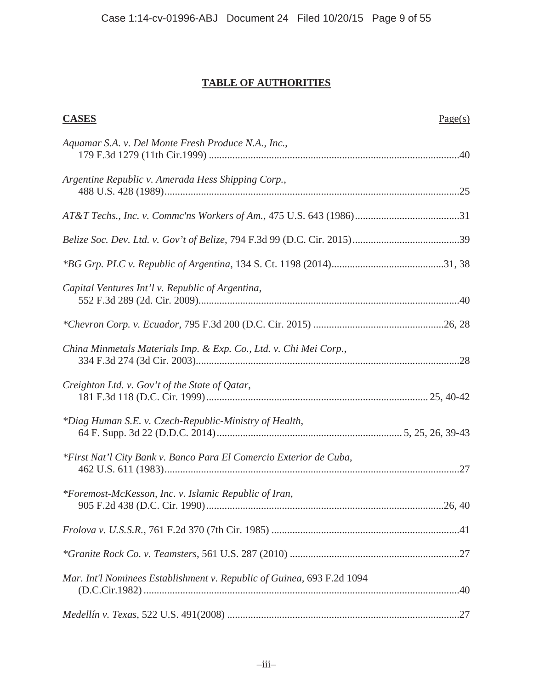# **TABLE OF AUTHORITIES**

| <b>CASES</b>                                                           | Page(s) |
|------------------------------------------------------------------------|---------|
| Aquamar S.A. v. Del Monte Fresh Produce N.A., Inc.,                    |         |
| Argentine Republic v. Amerada Hess Shipping Corp.,                     |         |
|                                                                        |         |
|                                                                        |         |
|                                                                        |         |
| Capital Ventures Int'l v. Republic of Argentina,                       |         |
|                                                                        |         |
| China Minmetals Materials Imp. & Exp. Co., Ltd. v. Chi Mei Corp.,      |         |
| Creighton Ltd. v. Gov't of the State of Qatar,                         |         |
| *Diag Human S.E. v. Czech-Republic-Ministry of Health,                 |         |
| *First Nat'l City Bank v. Banco Para El Comercio Exterior de Cuba,     |         |
| *Foremost-McKesson, Inc. v. Islamic Republic of Iran,                  |         |
|                                                                        |         |
|                                                                        |         |
| Mar. Int'l Nominees Establishment v. Republic of Guinea, 693 F.2d 1094 |         |
|                                                                        |         |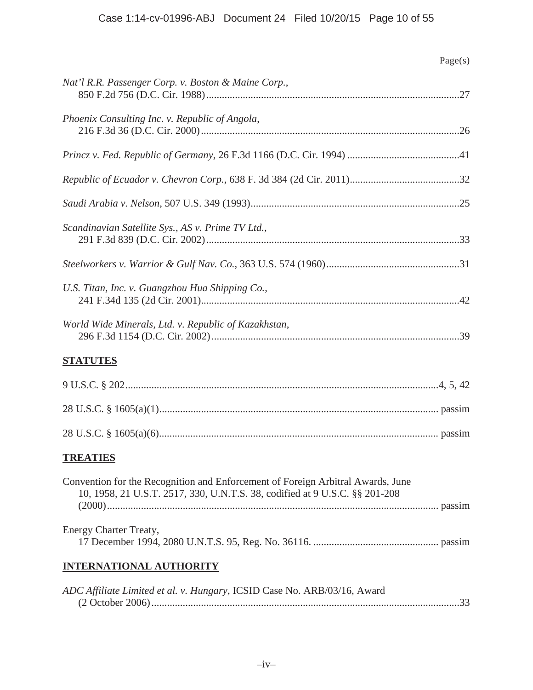|                                                                                                                                                                | Page(s) |
|----------------------------------------------------------------------------------------------------------------------------------------------------------------|---------|
| Nat'l R.R. Passenger Corp. v. Boston & Maine Corp.,                                                                                                            |         |
| Phoenix Consulting Inc. v. Republic of Angola,                                                                                                                 |         |
|                                                                                                                                                                |         |
|                                                                                                                                                                |         |
|                                                                                                                                                                |         |
| Scandinavian Satellite Sys., AS v. Prime TV Ltd.,                                                                                                              |         |
|                                                                                                                                                                |         |
| U.S. Titan, Inc. v. Guangzhou Hua Shipping Co.,                                                                                                                |         |
| World Wide Minerals, Ltd. v. Republic of Kazakhstan,                                                                                                           |         |
| <b>STATUTES</b>                                                                                                                                                |         |
|                                                                                                                                                                |         |
|                                                                                                                                                                |         |
|                                                                                                                                                                |         |
| <b>TREATIES</b>                                                                                                                                                |         |
| Convention for the Recognition and Enforcement of Foreign Arbitral Awards, June<br>10, 1958, 21 U.S.T. 2517, 330, U.N.T.S. 38, codified at 9 U.S.C. §§ 201-208 |         |
| Energy Charter Treaty,                                                                                                                                         |         |
| <b>INTERNATIONAL AUTHORITY</b>                                                                                                                                 |         |
| ADC Affiliate Limited et al. v. Hungary, ICSID Case No. ARB/03/16, Award                                                                                       |         |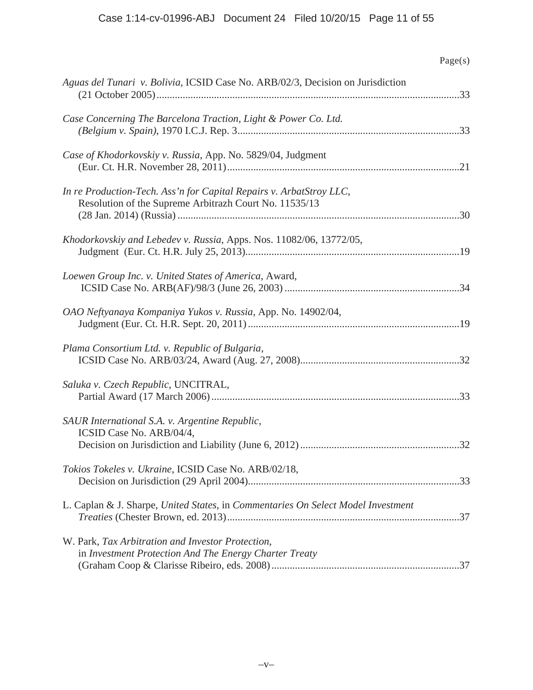| Page(s)                                                                                                                       |
|-------------------------------------------------------------------------------------------------------------------------------|
| Aguas del Tunari v. Bolivia, ICSID Case No. ARB/02/3, Decision on Jurisdiction                                                |
| Case Concerning The Barcelona Traction, Light & Power Co. Ltd.                                                                |
| Case of Khodorkovskiy v. Russia, App. No. 5829/04, Judgment                                                                   |
| In re Production-Tech. Ass'n for Capital Repairs v. ArbatStroy LLC,<br>Resolution of the Supreme Arbitrazh Court No. 11535/13 |
| Khodorkovskiy and Lebedev v. Russia, Apps. Nos. 11082/06, 13772/05,                                                           |
| Loewen Group Inc. v. United States of America, Award,                                                                         |
| OAO Neftyanaya Kompaniya Yukos v. Russia, App. No. 14902/04,                                                                  |
| Plama Consortium Ltd. v. Republic of Bulgaria,                                                                                |
| Saluka v. Czech Republic, UNCITRAL,                                                                                           |
| SAUR International S.A. v. Argentine Republic,<br>ICSID Case No. ARB/04/4,<br>.32                                             |
| Tokios Tokeles v. Ukraine, ICSID Case No. ARB/02/18,                                                                          |
| L. Caplan & J. Sharpe, United States, in Commentaries On Select Model Investment                                              |
| W. Park, Tax Arbitration and Investor Protection,<br>in Investment Protection And The Energy Charter Treaty                   |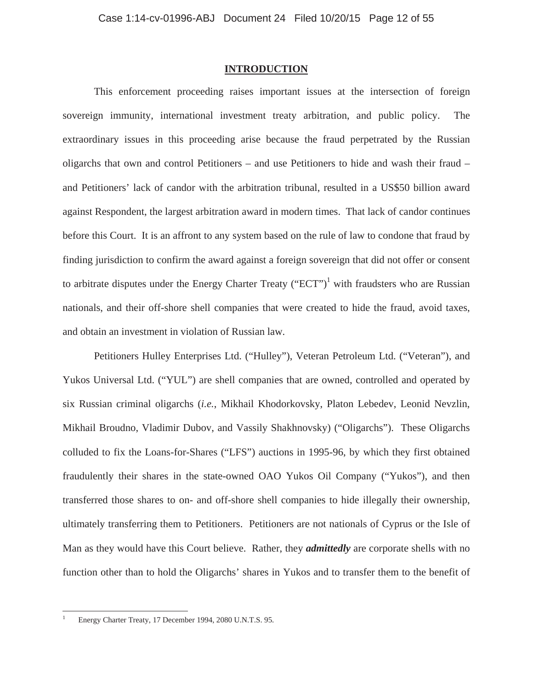## **INTRODUCTION**

This enforcement proceeding raises important issues at the intersection of foreign sovereign immunity, international investment treaty arbitration, and public policy. The extraordinary issues in this proceeding arise because the fraud perpetrated by the Russian oligarchs that own and control Petitioners – and use Petitioners to hide and wash their fraud – and Petitioners' lack of candor with the arbitration tribunal, resulted in a US\$50 billion award against Respondent, the largest arbitration award in modern times. That lack of candor continues before this Court. It is an affront to any system based on the rule of law to condone that fraud by finding jurisdiction to confirm the award against a foreign sovereign that did not offer or consent to arbitrate disputes under the Energy Charter Treaty ("ECT")<sup>1</sup> with fraudsters who are Russian nationals, and their off-shore shell companies that were created to hide the fraud, avoid taxes, and obtain an investment in violation of Russian law.

Petitioners Hulley Enterprises Ltd. ("Hulley"), Veteran Petroleum Ltd. ("Veteran"), and Yukos Universal Ltd. ("YUL") are shell companies that are owned, controlled and operated by six Russian criminal oligarchs (*i.e.*, Mikhail Khodorkovsky, Platon Lebedev, Leonid Nevzlin, Mikhail Broudno, Vladimir Dubov, and Vassily Shakhnovsky) ("Oligarchs"). These Oligarchs colluded to fix the Loans-for-Shares ("LFS") auctions in 1995-96, by which they first obtained fraudulently their shares in the state-owned OAO Yukos Oil Company ("Yukos"), and then transferred those shares to on- and off-shore shell companies to hide illegally their ownership, ultimately transferring them to Petitioners. Petitioners are not nationals of Cyprus or the Isle of Man as they would have this Court believe. Rather, they *admittedly* are corporate shells with no function other than to hold the Oligarchs' shares in Yukos and to transfer them to the benefit of

 $\overline{a}$ 

<sup>1</sup> Energy Charter Treaty, 17 December 1994, 2080 U.N.T.S. 95.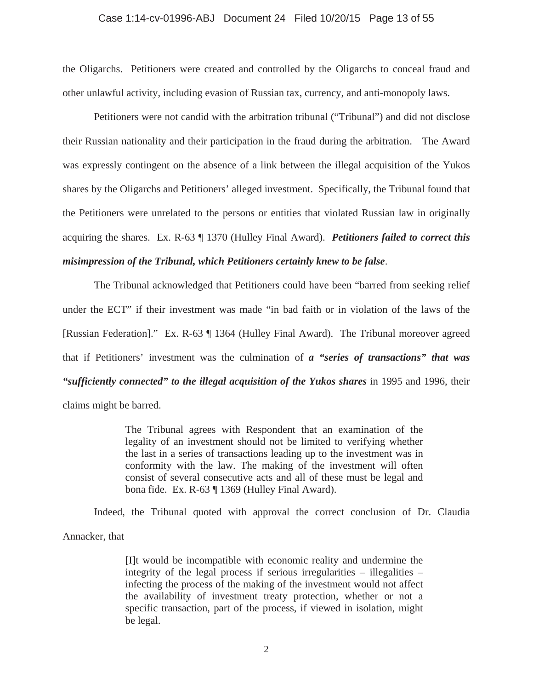### Case 1:14-cv-01996-ABJ Document 24 Filed 10/20/15 Page 13 of 55

the Oligarchs. Petitioners were created and controlled by the Oligarchs to conceal fraud and other unlawful activity, including evasion of Russian tax, currency, and anti-monopoly laws.

Petitioners were not candid with the arbitration tribunal ("Tribunal") and did not disclose their Russian nationality and their participation in the fraud during the arbitration. The Award was expressly contingent on the absence of a link between the illegal acquisition of the Yukos shares by the Oligarchs and Petitioners' alleged investment. Specifically, the Tribunal found that the Petitioners were unrelated to the persons or entities that violated Russian law in originally acquiring the shares. Ex. R-63 ¶ 1370 (Hulley Final Award). *Petitioners failed to correct this misimpression of the Tribunal, which Petitioners certainly knew to be false*.

The Tribunal acknowledged that Petitioners could have been "barred from seeking relief under the ECT" if their investment was made "in bad faith or in violation of the laws of the [Russian Federation]." Ex. R-63 ¶ 1364 (Hulley Final Award). The Tribunal moreover agreed that if Petitioners' investment was the culmination of *a "series of transactions" that was "sufficiently connected" to the illegal acquisition of the Yukos shares* in 1995 and 1996, their claims might be barred.

> The Tribunal agrees with Respondent that an examination of the legality of an investment should not be limited to verifying whether the last in a series of transactions leading up to the investment was in conformity with the law. The making of the investment will often consist of several consecutive acts and all of these must be legal and bona fide. Ex. R-63 ¶ 1369 (Hulley Final Award).

Indeed, the Tribunal quoted with approval the correct conclusion of Dr. Claudia

Annacker, that

[I]t would be incompatible with economic reality and undermine the integrity of the legal process if serious irregularities – illegalities – infecting the process of the making of the investment would not affect the availability of investment treaty protection, whether or not a specific transaction, part of the process, if viewed in isolation, might be legal.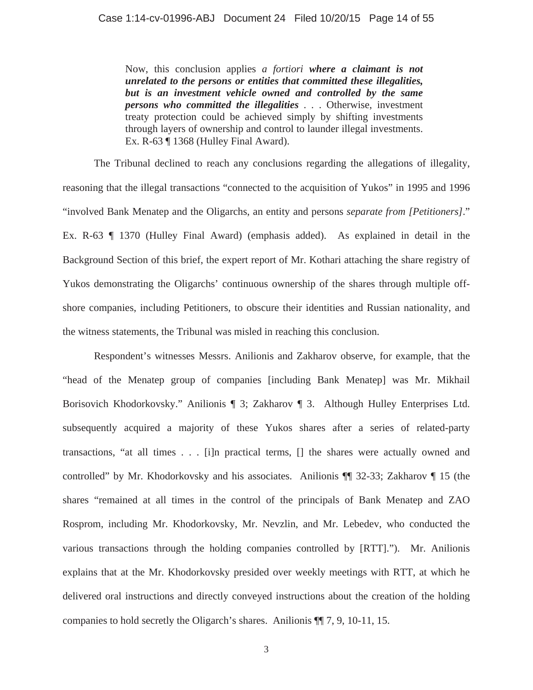Now, this conclusion applies *a fortiori where a claimant is not unrelated to the persons or entities that committed these illegalities, but is an investment vehicle owned and controlled by the same persons who committed the illegalities* . . . Otherwise, investment treaty protection could be achieved simply by shifting investments through layers of ownership and control to launder illegal investments. Ex. R-63  $\P$  1368 (Hulley Final Award).

The Tribunal declined to reach any conclusions regarding the allegations of illegality, reasoning that the illegal transactions "connected to the acquisition of Yukos" in 1995 and 1996 "involved Bank Menatep and the Oligarchs, an entity and persons *separate from [Petitioners]*." Ex. R-63 ¶ 1370 (Hulley Final Award) (emphasis added). As explained in detail in the Background Section of this brief, the expert report of Mr. Kothari attaching the share registry of Yukos demonstrating the Oligarchs' continuous ownership of the shares through multiple offshore companies, including Petitioners, to obscure their identities and Russian nationality, and the witness statements, the Tribunal was misled in reaching this conclusion.

Respondent's witnesses Messrs. Anilionis and Zakharov observe, for example, that the "head of the Menatep group of companies [including Bank Menatep] was Mr. Mikhail Borisovich Khodorkovsky." Anilionis ¶ 3; Zakharov ¶ 3. Although Hulley Enterprises Ltd. subsequently acquired a majority of these Yukos shares after a series of related-party transactions, "at all times . . . [i]n practical terms, [] the shares were actually owned and controlled" by Mr. Khodorkovsky and his associates. Anilionis ¶¶ 32-33; Zakharov ¶ 15 (the shares "remained at all times in the control of the principals of Bank Menatep and ZAO Rosprom, including Mr. Khodorkovsky, Mr. Nevzlin, and Mr. Lebedev, who conducted the various transactions through the holding companies controlled by [RTT]."). Mr. Anilionis explains that at the Mr. Khodorkovsky presided over weekly meetings with RTT, at which he delivered oral instructions and directly conveyed instructions about the creation of the holding companies to hold secretly the Oligarch's shares. Anilionis ¶¶ 7, 9, 10-11, 15.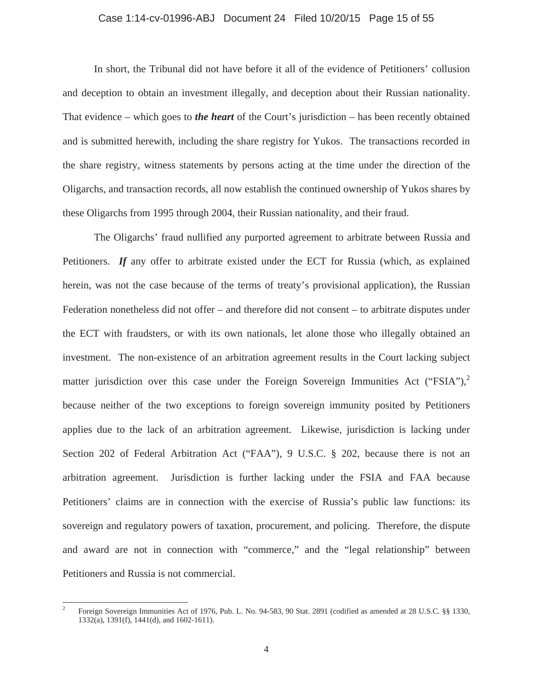#### Case 1:14-cv-01996-ABJ Document 24 Filed 10/20/15 Page 15 of 55

In short, the Tribunal did not have before it all of the evidence of Petitioners' collusion and deception to obtain an investment illegally, and deception about their Russian nationality. That evidence – which goes to *the heart* of the Court's jurisdiction – has been recently obtained and is submitted herewith, including the share registry for Yukos. The transactions recorded in the share registry, witness statements by persons acting at the time under the direction of the Oligarchs, and transaction records, all now establish the continued ownership of Yukos shares by these Oligarchs from 1995 through 2004, their Russian nationality, and their fraud.

The Oligarchs' fraud nullified any purported agreement to arbitrate between Russia and Petitioners. *If* any offer to arbitrate existed under the ECT for Russia (which, as explained herein, was not the case because of the terms of treaty's provisional application), the Russian Federation nonetheless did not offer – and therefore did not consent – to arbitrate disputes under the ECT with fraudsters, or with its own nationals, let alone those who illegally obtained an investment. The non-existence of an arbitration agreement results in the Court lacking subject matter jurisdiction over this case under the Foreign Sovereign Immunities Act ("FSIA"), $^2$ because neither of the two exceptions to foreign sovereign immunity posited by Petitioners applies due to the lack of an arbitration agreement. Likewise, jurisdiction is lacking under Section 202 of Federal Arbitration Act ("FAA"), 9 U.S.C. § 202, because there is not an arbitration agreement. Jurisdiction is further lacking under the FSIA and FAA because Petitioners' claims are in connection with the exercise of Russia's public law functions: its sovereign and regulatory powers of taxation, procurement, and policing. Therefore, the dispute and award are not in connection with "commerce," and the "legal relationship" between Petitioners and Russia is not commercial.

 $\frac{1}{2}$  Foreign Sovereign Immunities Act of 1976, Pub. L. No. 94-583, 90 Stat. 2891 (codified as amended at 28 U.S.C. §§ 1330, 1332(a), 1391(f), 1441(d), and 1602-1611).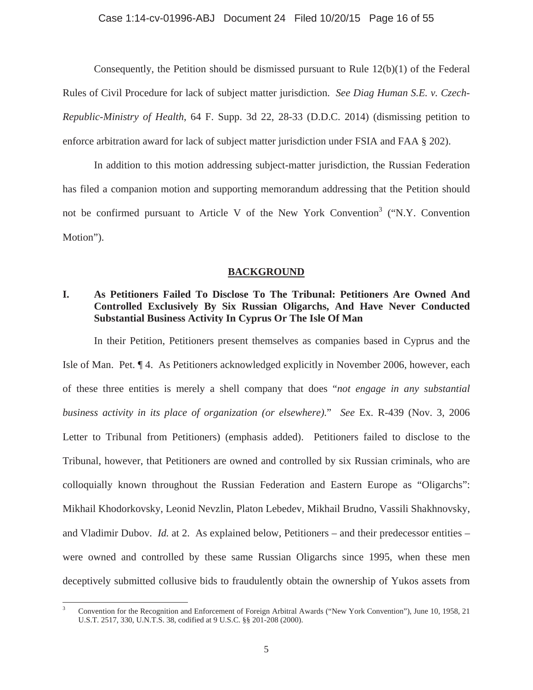## Case 1:14-cv-01996-ABJ Document 24 Filed 10/20/15 Page 16 of 55

Consequently, the Petition should be dismissed pursuant to Rule 12(b)(1) of the Federal Rules of Civil Procedure for lack of subject matter jurisdiction. *See Diag Human S.E. v. Czech-Republic-Ministry of Health*, 64 F. Supp. 3d 22, 28-33 (D.D.C. 2014) (dismissing petition to enforce arbitration award for lack of subject matter jurisdiction under FSIA and FAA § 202).

In addition to this motion addressing subject-matter jurisdiction, the Russian Federation has filed a companion motion and supporting memorandum addressing that the Petition should not be confirmed pursuant to Article V of the New York Convention<sup>3</sup> ("N.Y. Convention Motion").

### **BACKGROUND**

# **I. As Petitioners Failed To Disclose To The Tribunal: Petitioners Are Owned And Controlled Exclusively By Six Russian Oligarchs, And Have Never Conducted Substantial Business Activity In Cyprus Or The Isle Of Man**

In their Petition, Petitioners present themselves as companies based in Cyprus and the

Isle of Man. Pet. ¶ 4. As Petitioners acknowledged explicitly in November 2006, however, each of these three entities is merely a shell company that does "*not engage in any substantial business activity in its place of organization (or elsewhere)*." *See* Ex. R-439 (Nov. 3, 2006 Letter to Tribunal from Petitioners) (emphasis added). Petitioners failed to disclose to the Tribunal, however, that Petitioners are owned and controlled by six Russian criminals, who are colloquially known throughout the Russian Federation and Eastern Europe as "Oligarchs": Mikhail Khodorkovsky, Leonid Nevzlin, Platon Lebedev, Mikhail Brudno, Vassili Shakhnovsky, and Vladimir Dubov. *Id.* at 2. As explained below, Petitioners – and their predecessor entities – were owned and controlled by these same Russian Oligarchs since 1995, when these men deceptively submitted collusive bids to fraudulently obtain the ownership of Yukos assets from

 $\overline{a}$ 

<sup>3</sup> Convention for the Recognition and Enforcement of Foreign Arbitral Awards ("New York Convention"), June 10, 1958, 21 U.S.T. 2517, 330, U.N.T.S. 38, codified at 9 U.S.C. §§ 201-208 (2000).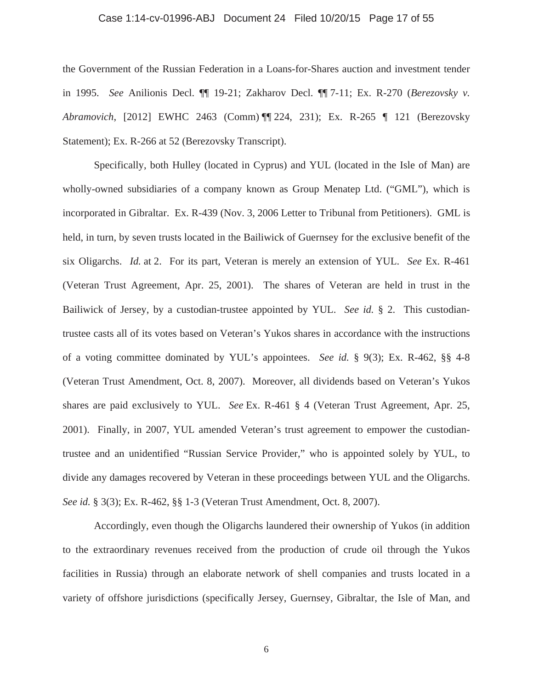## Case 1:14-cv-01996-ABJ Document 24 Filed 10/20/15 Page 17 of 55

the Government of the Russian Federation in a Loans-for-Shares auction and investment tender in 1995. *See* Anilionis Decl. ¶¶ 19-21; Zakharov Decl. ¶¶ 7-11; Ex. R-270 (*Berezovsky v. Abramovich*, [2012] EWHC 2463 (Comm) ¶¶ 224, 231); Ex. R-265 ¶ 121 (Berezovsky Statement); Ex. R-266 at 52 (Berezovsky Transcript).

Specifically, both Hulley (located in Cyprus) and YUL (located in the Isle of Man) are wholly-owned subsidiaries of a company known as Group Menatep Ltd. ("GML"), which is incorporated in Gibraltar. Ex. R-439 (Nov. 3, 2006 Letter to Tribunal from Petitioners). GML is held, in turn, by seven trusts located in the Bailiwick of Guernsey for the exclusive benefit of the six Oligarchs. *Id.* at 2. For its part, Veteran is merely an extension of YUL. *See* Ex. R-461 (Veteran Trust Agreement, Apr. 25, 2001). The shares of Veteran are held in trust in the Bailiwick of Jersey, by a custodian-trustee appointed by YUL. *See id.* § 2. This custodiantrustee casts all of its votes based on Veteran's Yukos shares in accordance with the instructions of a voting committee dominated by YUL's appointees. *See id.* § 9(3); Ex. R-462, §§ 4-8 (Veteran Trust Amendment, Oct. 8, 2007). Moreover, all dividends based on Veteran's Yukos shares are paid exclusively to YUL. *See* Ex. R-461 § 4 (Veteran Trust Agreement, Apr. 25, 2001). Finally, in 2007, YUL amended Veteran's trust agreement to empower the custodiantrustee and an unidentified "Russian Service Provider," who is appointed solely by YUL, to divide any damages recovered by Veteran in these proceedings between YUL and the Oligarchs. *See id.* § 3(3); Ex. R-462, §§ 1-3 (Veteran Trust Amendment, Oct. 8, 2007).

Accordingly, even though the Oligarchs laundered their ownership of Yukos (in addition to the extraordinary revenues received from the production of crude oil through the Yukos facilities in Russia) through an elaborate network of shell companies and trusts located in a variety of offshore jurisdictions (specifically Jersey, Guernsey, Gibraltar, the Isle of Man, and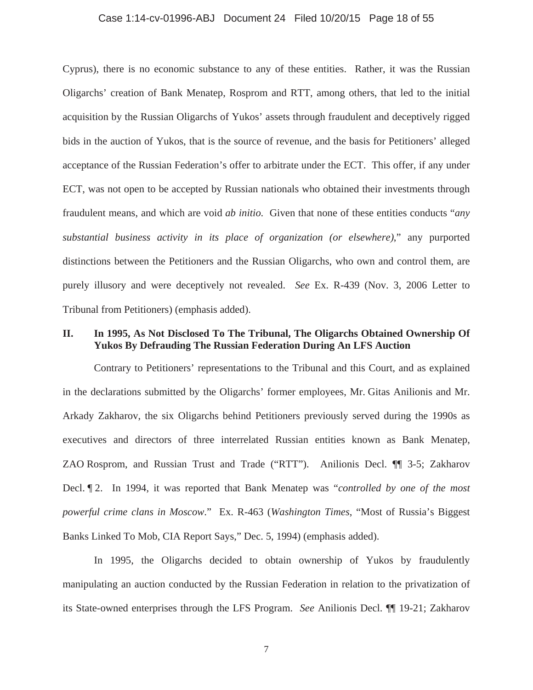### Case 1:14-cv-01996-ABJ Document 24 Filed 10/20/15 Page 18 of 55

Cyprus), there is no economic substance to any of these entities. Rather, it was the Russian Oligarchs' creation of Bank Menatep, Rosprom and RTT, among others, that led to the initial acquisition by the Russian Oligarchs of Yukos' assets through fraudulent and deceptively rigged bids in the auction of Yukos, that is the source of revenue, and the basis for Petitioners' alleged acceptance of the Russian Federation's offer to arbitrate under the ECT. This offer, if any under ECT, was not open to be accepted by Russian nationals who obtained their investments through fraudulent means, and which are void *ab initio*. Given that none of these entities conducts "*any substantial business activity in its place of organization (or elsewhere)*," any purported distinctions between the Petitioners and the Russian Oligarchs, who own and control them, are purely illusory and were deceptively not revealed. *See* Ex. R-439 (Nov. 3, 2006 Letter to Tribunal from Petitioners) (emphasis added).

## **II. In 1995, As Not Disclosed To The Tribunal, The Oligarchs Obtained Ownership Of Yukos By Defrauding The Russian Federation During An LFS Auction**

Contrary to Petitioners' representations to the Tribunal and this Court, and as explained in the declarations submitted by the Oligarchs' former employees, Mr. Gitas Anilionis and Mr. Arkady Zakharov, the six Oligarchs behind Petitioners previously served during the 1990s as executives and directors of three interrelated Russian entities known as Bank Menatep, ZAO Rosprom, and Russian Trust and Trade ("RTT"). Anilionis Decl. ¶¶ 3-5; Zakharov Decl. ¶ 2. In 1994, it was reported that Bank Menatep was "*controlled by one of the most powerful crime clans in Moscow*." Ex. R-463 (*Washington Times*, "Most of Russia's Biggest Banks Linked To Mob, CIA Report Says," Dec. 5, 1994) (emphasis added).

In 1995, the Oligarchs decided to obtain ownership of Yukos by fraudulently manipulating an auction conducted by the Russian Federation in relation to the privatization of its State-owned enterprises through the LFS Program. *See* Anilionis Decl. ¶¶ 19-21; Zakharov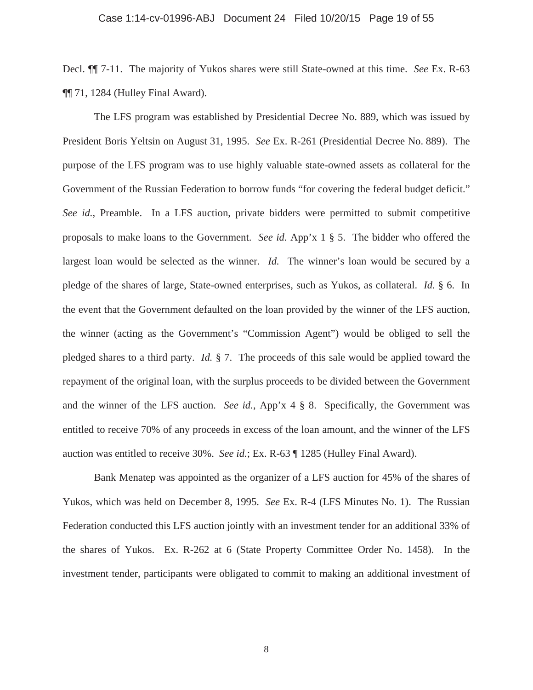### Case 1:14-cv-01996-ABJ Document 24 Filed 10/20/15 Page 19 of 55

Decl. ¶¶ 7-11. The majority of Yukos shares were still State-owned at this time. *See* Ex. R-63 ¶¶ 71, 1284 (Hulley Final Award).

The LFS program was established by Presidential Decree No. 889, which was issued by President Boris Yeltsin on August 31, 1995. *See* Ex. R-261 (Presidential Decree No. 889). The purpose of the LFS program was to use highly valuable state-owned assets as collateral for the Government of the Russian Federation to borrow funds "for covering the federal budget deficit." *See id.*, Preamble. In a LFS auction, private bidders were permitted to submit competitive proposals to make loans to the Government. *See id.* App'x 1 § 5. The bidder who offered the largest loan would be selected as the winner. *Id.* The winner's loan would be secured by a pledge of the shares of large, State-owned enterprises, such as Yukos, as collateral. *Id.* § 6. In the event that the Government defaulted on the loan provided by the winner of the LFS auction, the winner (acting as the Government's "Commission Agent") would be obliged to sell the pledged shares to a third party. *Id.* § 7. The proceeds of this sale would be applied toward the repayment of the original loan, with the surplus proceeds to be divided between the Government and the winner of the LFS auction. *See id.*, App'x 4 § 8. Specifically, the Government was entitled to receive 70% of any proceeds in excess of the loan amount, and the winner of the LFS auction was entitled to receive 30%. *See id.*; Ex. R-63 ¶ 1285 (Hulley Final Award).

Bank Menatep was appointed as the organizer of a LFS auction for 45% of the shares of Yukos, which was held on December 8, 1995. *See* Ex. R-4 (LFS Minutes No. 1). The Russian Federation conducted this LFS auction jointly with an investment tender for an additional 33% of the shares of Yukos. Ex. R-262 at 6 (State Property Committee Order No. 1458). In the investment tender, participants were obligated to commit to making an additional investment of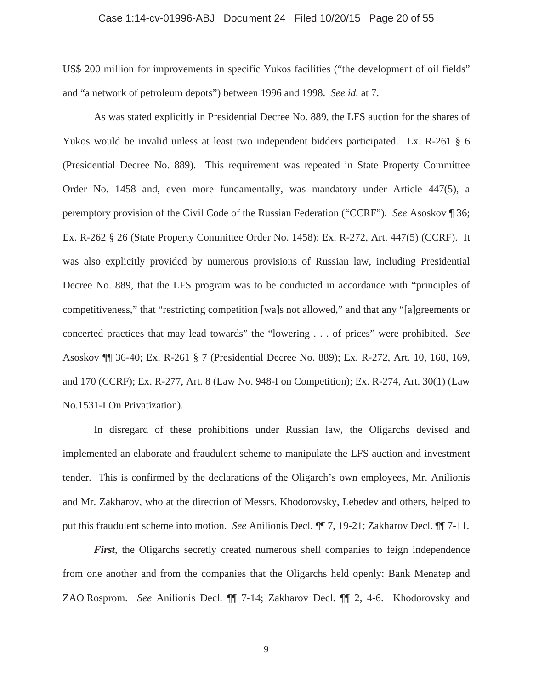### Case 1:14-cv-01996-ABJ Document 24 Filed 10/20/15 Page 20 of 55

US\$ 200 million for improvements in specific Yukos facilities ("the development of oil fields" and "a network of petroleum depots") between 1996 and 1998. *See id.* at 7.

As was stated explicitly in Presidential Decree No. 889, the LFS auction for the shares of Yukos would be invalid unless at least two independent bidders participated. Ex. R-261 § 6 (Presidential Decree No. 889). This requirement was repeated in State Property Committee Order No. 1458 and, even more fundamentally, was mandatory under Article 447(5), a peremptory provision of the Civil Code of the Russian Federation ("CCRF"). *See* Asoskov ¶ 36; Ex. R-262 § 26 (State Property Committee Order No. 1458); Ex. R-272, Art. 447(5) (CCRF). It was also explicitly provided by numerous provisions of Russian law, including Presidential Decree No. 889, that the LFS program was to be conducted in accordance with "principles of competitiveness," that "restricting competition [wa]s not allowed," and that any "[a]greements or concerted practices that may lead towards" the "lowering . . . of prices" were prohibited. *See*  Asoskov ¶¶ 36-40; Ex. R-261 § 7 (Presidential Decree No. 889); Ex. R-272, Art. 10, 168, 169, and 170 (CCRF); Ex. R-277, Art. 8 (Law No. 948-I on Competition); Ex. R-274, Art. 30(1) (Law No.1531-I On Privatization).

In disregard of these prohibitions under Russian law, the Oligarchs devised and implemented an elaborate and fraudulent scheme to manipulate the LFS auction and investment tender. This is confirmed by the declarations of the Oligarch's own employees, Mr. Anilionis and Mr. Zakharov, who at the direction of Messrs. Khodorovsky, Lebedev and others, helped to put this fraudulent scheme into motion. *See* Anilionis Decl. ¶¶ 7, 19-21; Zakharov Decl. ¶¶ 7-11.

*First*, the Oligarchs secretly created numerous shell companies to feign independence from one another and from the companies that the Oligarchs held openly: Bank Menatep and ZAO Rosprom. *See* Anilionis Decl. ¶¶ 7-14; Zakharov Decl. ¶¶ 2, 4-6. Khodorovsky and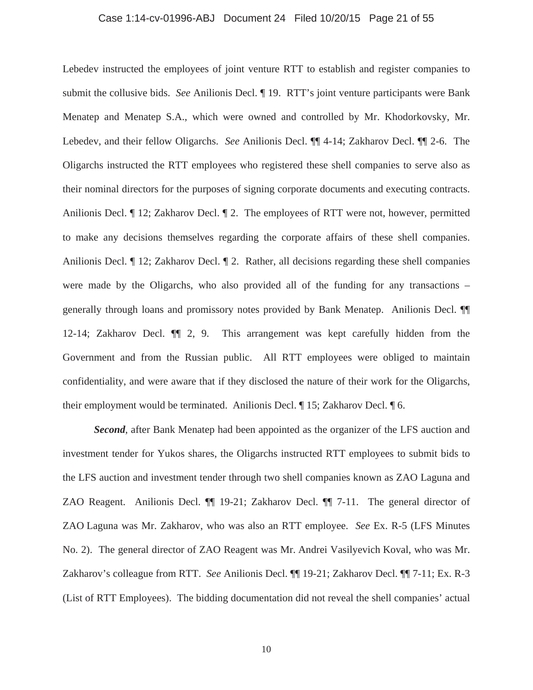### Case 1:14-cv-01996-ABJ Document 24 Filed 10/20/15 Page 21 of 55

Lebedev instructed the employees of joint venture RTT to establish and register companies to submit the collusive bids. *See* Anilionis Decl. ¶ 19. RTT's joint venture participants were Bank Menatep and Menatep S.A., which were owned and controlled by Mr. Khodorkovsky, Mr. Lebedev, and their fellow Oligarchs. *See* Anilionis Decl. ¶¶ 4-14; Zakharov Decl. ¶¶ 2-6. The Oligarchs instructed the RTT employees who registered these shell companies to serve also as their nominal directors for the purposes of signing corporate documents and executing contracts. Anilionis Decl. ¶ 12; Zakharov Decl. ¶ 2. The employees of RTT were not, however, permitted to make any decisions themselves regarding the corporate affairs of these shell companies. Anilionis Decl. ¶ 12; Zakharov Decl. ¶ 2. Rather, all decisions regarding these shell companies were made by the Oligarchs, who also provided all of the funding for any transactions – generally through loans and promissory notes provided by Bank Menatep. Anilionis Decl. ¶¶ 12-14; Zakharov Decl. ¶¶ 2, 9. This arrangement was kept carefully hidden from the Government and from the Russian public. All RTT employees were obliged to maintain confidentiality, and were aware that if they disclosed the nature of their work for the Oligarchs, their employment would be terminated. Anilionis Decl. ¶ 15; Zakharov Decl. ¶ 6.

*Second*, after Bank Menatep had been appointed as the organizer of the LFS auction and investment tender for Yukos shares, the Oligarchs instructed RTT employees to submit bids to the LFS auction and investment tender through two shell companies known as ZAO Laguna and ZAO Reagent. Anilionis Decl. ¶¶ 19-21; Zakharov Decl. ¶¶ 7-11. The general director of ZAO Laguna was Mr. Zakharov, who was also an RTT employee. *See* Ex. R-5 (LFS Minutes No. 2). The general director of ZAO Reagent was Mr. Andrei Vasilyevich Koval, who was Mr. Zakharov's colleague from RTT. *See* Anilionis Decl. ¶¶ 19-21; Zakharov Decl. ¶¶ 7-11; Ex. R-3 (List of RTT Employees). The bidding documentation did not reveal the shell companies' actual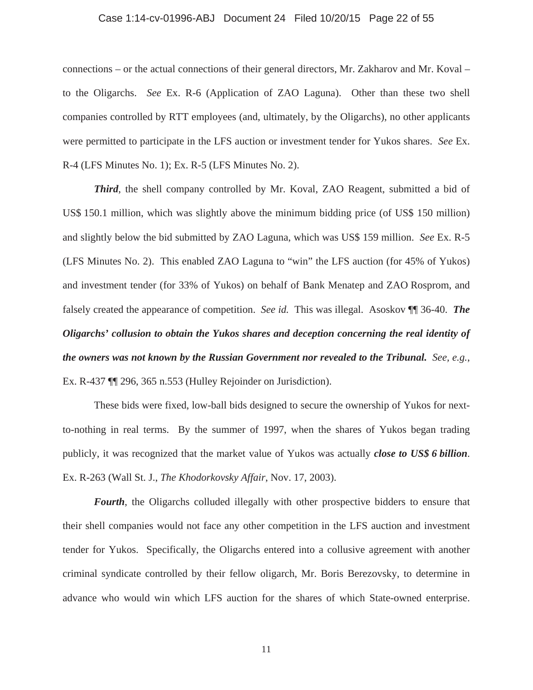### Case 1:14-cv-01996-ABJ Document 24 Filed 10/20/15 Page 22 of 55

connections – or the actual connections of their general directors, Mr. Zakharov and Mr. Koval – to the Oligarchs. *See* Ex. R-6 (Application of ZAO Laguna). Other than these two shell companies controlled by RTT employees (and, ultimately, by the Oligarchs), no other applicants were permitted to participate in the LFS auction or investment tender for Yukos shares. *See* Ex. R-4 (LFS Minutes No. 1); Ex. R-5 (LFS Minutes No. 2).

*Third*, the shell company controlled by Mr. Koval, ZAO Reagent, submitted a bid of US\$ 150.1 million, which was slightly above the minimum bidding price (of US\$ 150 million) and slightly below the bid submitted by ZAO Laguna, which was US\$ 159 million. *See* Ex. R-5 (LFS Minutes No. 2). This enabled ZAO Laguna to "win" the LFS auction (for 45% of Yukos) and investment tender (for 33% of Yukos) on behalf of Bank Menatep and ZAO Rosprom, and falsely created the appearance of competition. *See id.* This was illegal. Asoskov ¶¶ 36-40. *The Oligarchs' collusion to obtain the Yukos shares and deception concerning the real identity of the owners was not known by the Russian Government nor revealed to the Tribunal. See, e.g.*, Ex. R-437 ¶¶ 296, 365 n.553 (Hulley Rejoinder on Jurisdiction).

These bids were fixed, low-ball bids designed to secure the ownership of Yukos for nextto-nothing in real terms. By the summer of 1997, when the shares of Yukos began trading publicly, it was recognized that the market value of Yukos was actually *close to US\$ 6 billion*. Ex. R-263 (Wall St. J., *The Khodorkovsky Affair*, Nov. 17, 2003).

*Fourth*, the Oligarchs colluded illegally with other prospective bidders to ensure that their shell companies would not face any other competition in the LFS auction and investment tender for Yukos. Specifically, the Oligarchs entered into a collusive agreement with another criminal syndicate controlled by their fellow oligarch, Mr. Boris Berezovsky, to determine in advance who would win which LFS auction for the shares of which State-owned enterprise.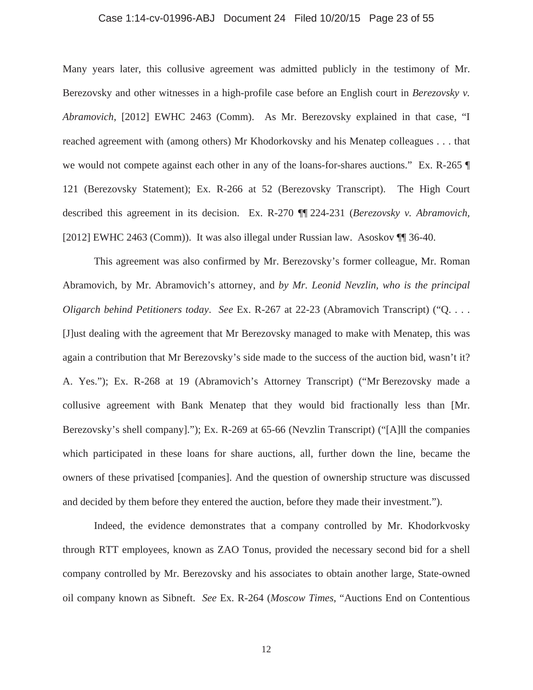# Case 1:14-cv-01996-ABJ Document 24 Filed 10/20/15 Page 23 of 55

Many years later, this collusive agreement was admitted publicly in the testimony of Mr. Berezovsky and other witnesses in a high-profile case before an English court in *Berezovsky v. Abramovich*, [2012] EWHC 2463 (Comm). As Mr. Berezovsky explained in that case, "I reached agreement with (among others) Mr Khodorkovsky and his Menatep colleagues . . . that we would not compete against each other in any of the loans-for-shares auctions." Ex. R-265 ¶ 121 (Berezovsky Statement); Ex. R-266 at 52 (Berezovsky Transcript). The High Court described this agreement in its decision. Ex. R-270 ¶¶ 224-231 (*Berezovsky v. Abramovich,*  [2012] EWHC 2463 (Comm)). It was also illegal under Russian law. Asoskov ¶ 36-40.

This agreement was also confirmed by Mr. Berezovsky's former colleague, Mr. Roman Abramovich, by Mr. Abramovich's attorney, and *by Mr. Leonid Nevzlin, who is the principal Oligarch behind Petitioners today*. *See* Ex. R-267 at 22-23 (Abramovich Transcript) ("Q. . . . [J]ust dealing with the agreement that Mr Berezovsky managed to make with Menatep, this was again a contribution that Mr Berezovsky's side made to the success of the auction bid, wasn't it? A. Yes."); Ex. R-268 at 19 (Abramovich's Attorney Transcript) ("Mr Berezovsky made a collusive agreement with Bank Menatep that they would bid fractionally less than [Mr. Berezovsky's shell company]."); Ex. R-269 at 65-66 (Nevzlin Transcript) ("[A]ll the companies which participated in these loans for share auctions, all, further down the line, became the owners of these privatised [companies]. And the question of ownership structure was discussed and decided by them before they entered the auction, before they made their investment.").

Indeed, the evidence demonstrates that a company controlled by Mr. Khodorkvosky through RTT employees, known as ZAO Tonus, provided the necessary second bid for a shell company controlled by Mr. Berezovsky and his associates to obtain another large, State-owned oil company known as Sibneft. *See* Ex. R-264 (*Moscow Times*, "Auctions End on Contentious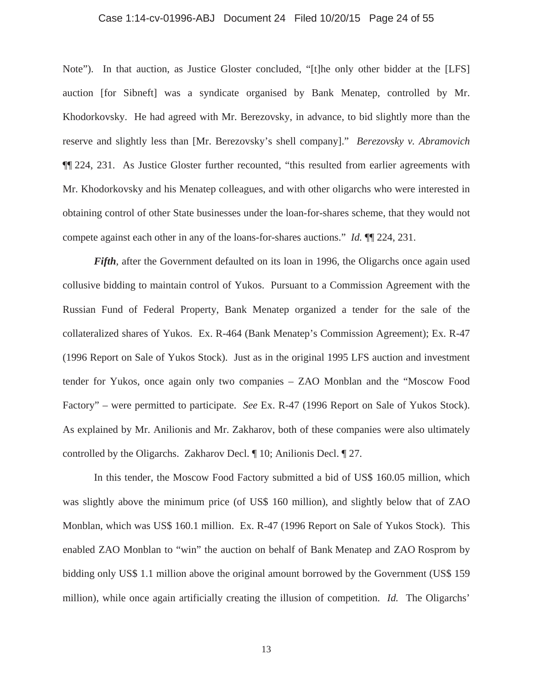# Case 1:14-cv-01996-ABJ Document 24 Filed 10/20/15 Page 24 of 55

Note"). In that auction, as Justice Gloster concluded, "[t]he only other bidder at the [LFS] auction [for Sibneft] was a syndicate organised by Bank Menatep, controlled by Mr. Khodorkovsky. He had agreed with Mr. Berezovsky, in advance, to bid slightly more than the reserve and slightly less than [Mr. Berezovsky's shell company]." *Berezovsky v. Abramovich*  ¶¶ 224, 231. As Justice Gloster further recounted, "this resulted from earlier agreements with Mr. Khodorkovsky and his Menatep colleagues, and with other oligarchs who were interested in obtaining control of other State businesses under the loan-for-shares scheme, that they would not compete against each other in any of the loans-for-shares auctions." *Id.* ¶¶ 224, 231.

*Fifth*, after the Government defaulted on its loan in 1996, the Oligarchs once again used collusive bidding to maintain control of Yukos. Pursuant to a Commission Agreement with the Russian Fund of Federal Property, Bank Menatep organized a tender for the sale of the collateralized shares of Yukos. Ex. R-464 (Bank Menatep's Commission Agreement); Ex. R-47 (1996 Report on Sale of Yukos Stock). Just as in the original 1995 LFS auction and investment tender for Yukos, once again only two companies – ZAO Monblan and the "Moscow Food Factory" – were permitted to participate. *See* Ex. R-47 (1996 Report on Sale of Yukos Stock). As explained by Mr. Anilionis and Mr. Zakharov, both of these companies were also ultimately controlled by the Oligarchs. Zakharov Decl. ¶ 10; Anilionis Decl. ¶ 27.

In this tender, the Moscow Food Factory submitted a bid of US\$ 160.05 million, which was slightly above the minimum price (of US\$ 160 million), and slightly below that of ZAO Monblan, which was US\$ 160.1 million. Ex. R-47 (1996 Report on Sale of Yukos Stock). This enabled ZAO Monblan to "win" the auction on behalf of Bank Menatep and ZAO Rosprom by bidding only US\$ 1.1 million above the original amount borrowed by the Government (US\$ 159 million), while once again artificially creating the illusion of competition. *Id.* The Oligarchs'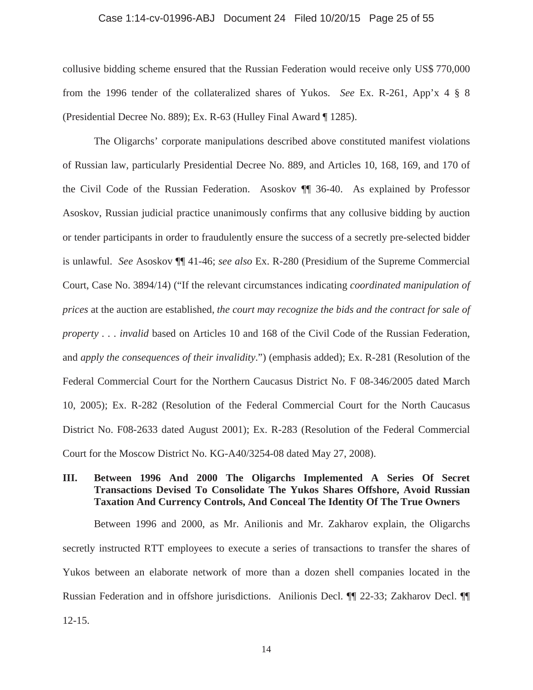#### Case 1:14-cv-01996-ABJ Document 24 Filed 10/20/15 Page 25 of 55

collusive bidding scheme ensured that the Russian Federation would receive only US\$ 770,000 from the 1996 tender of the collateralized shares of Yukos. *See* Ex. R-261, App'x 4 § 8 (Presidential Decree No. 889); Ex. R-63 (Hulley Final Award ¶ 1285).

The Oligarchs' corporate manipulations described above constituted manifest violations of Russian law, particularly Presidential Decree No. 889, and Articles 10, 168, 169, and 170 of the Civil Code of the Russian Federation. Asoskov ¶¶ 36-40. As explained by Professor Asoskov, Russian judicial practice unanimously confirms that any collusive bidding by auction or tender participants in order to fraudulently ensure the success of a secretly pre-selected bidder is unlawful. *See* Asoskov ¶¶ 41-46; *see also* Ex. R-280 (Presidium of the Supreme Commercial Court, Case No. 3894/14) ("If the relevant circumstances indicating *coordinated manipulation of prices* at the auction are established, *the court may recognize the bids and the contract for sale of property . . . invalid* based on Articles 10 and 168 of the Civil Code of the Russian Federation, and *apply the consequences of their invalidity*.") (emphasis added); Ex. R-281 (Resolution of the Federal Commercial Court for the Northern Caucasus District No. F 08-346/2005 dated March 10, 2005); Ex. R-282 (Resolution of the Federal Commercial Court for the North Caucasus District No. F08-2633 dated August 2001); Ex. R-283 (Resolution of the Federal Commercial Court for the Moscow District No. KG-A40/3254-08 dated May 27, 2008).

# **III. Between 1996 And 2000 The Oligarchs Implemented A Series Of Secret Transactions Devised To Consolidate The Yukos Shares Offshore, Avoid Russian Taxation And Currency Controls, And Conceal The Identity Of The True Owners**

Between 1996 and 2000, as Mr. Anilionis and Mr. Zakharov explain, the Oligarchs secretly instructed RTT employees to execute a series of transactions to transfer the shares of Yukos between an elaborate network of more than a dozen shell companies located in the Russian Federation and in offshore jurisdictions. Anilionis Decl. ¶¶ 22-33; Zakharov Decl. ¶¶ 12-15.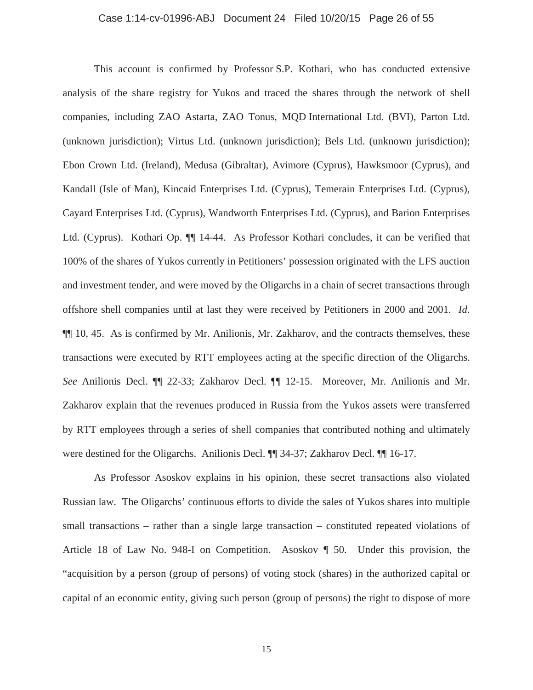# Case 1:14-cv-01996-ABJ Document 24 Filed 10/20/15 Page 26 of 55

This account is confirmed by Professor S.P. Kothari, who has conducted extensive analysis of the share registry for Yukos and traced the shares through the network of shell companies, including ZAO Astarta, ZAO Tonus, MQD International Ltd. (BVI), Parton Ltd. (unknown jurisdiction); Virtus Ltd. (unknown jurisdiction); Bels Ltd. (unknown jurisdiction); Ebon Crown Ltd. (Ireland), Medusa (Gibraltar), Avimore (Cyprus), Hawksmoor (Cyprus), and Kandall (Isle of Man), Kincaid Enterprises Ltd. (Cyprus), Temerain Enterprises Ltd. (Cyprus), Cayard Enterprises Ltd. (Cyprus), Wandworth Enterprises Ltd. (Cyprus), and Barion Enterprises Ltd. (Cyprus). Kothari Op. ¶¶ 14-44. As Professor Kothari concludes, it can be verified that 100% of the shares of Yukos currently in Petitioners' possession originated with the LFS auction and investment tender, and were moved by the Oligarchs in a chain of secret transactions through offshore shell companies until at last they were received by Petitioners in 2000 and 2001. *Id.* ¶¶ 10, 45. As is confirmed by Mr. Anilionis, Mr. Zakharov, and the contracts themselves, these transactions were executed by RTT employees acting at the specific direction of the Oligarchs. *See* Anilionis Decl. ¶¶ 22-33; Zakharov Decl. ¶¶ 12-15. Moreover, Mr. Anilionis and Mr. Zakharov explain that the revenues produced in Russia from the Yukos assets were transferred by RTT employees through a series of shell companies that contributed nothing and ultimately were destined for the Oligarchs. Anilionis Decl. ¶¶ 34-37; Zakharov Decl. ¶¶ 16-17.

As Professor Asoskov explains in his opinion, these secret transactions also violated Russian law. The Oligarchs' continuous efforts to divide the sales of Yukos shares into multiple small transactions – rather than a single large transaction – constituted repeated violations of Article 18 of Law No. 948-I on Competition. Asoskov ¶ 50. Under this provision, the "acquisition by a person (group of persons) of voting stock (shares) in the authorized capital or capital of an economic entity, giving such person (group of persons) the right to dispose of more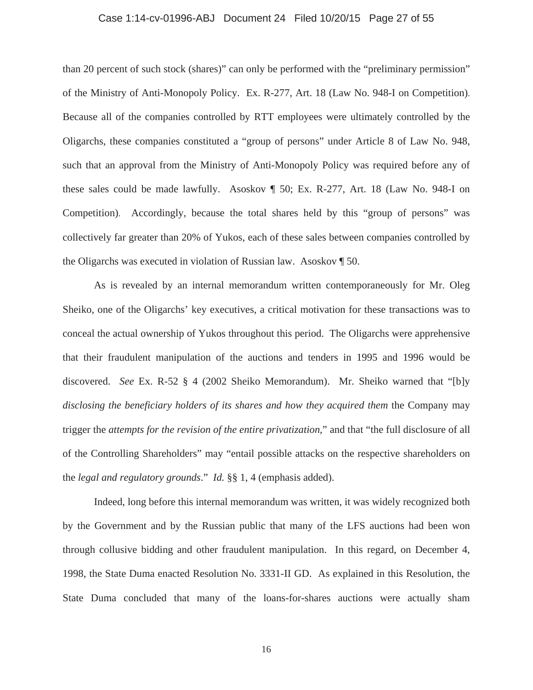# Case 1:14-cv-01996-ABJ Document 24 Filed 10/20/15 Page 27 of 55

than 20 percent of such stock (shares)" can only be performed with the "preliminary permission" of the Ministry of Anti-Monopoly Policy. Ex. R-277, Art. 18 (Law No. 948-I on Competition). Because all of the companies controlled by RTT employees were ultimately controlled by the Oligarchs, these companies constituted a "group of persons" under Article 8 of Law No. 948, such that an approval from the Ministry of Anti-Monopoly Policy was required before any of these sales could be made lawfully. Asoskov ¶ 50; Ex. R-277, Art. 18 (Law No. 948-I on Competition). Accordingly, because the total shares held by this "group of persons" was collectively far greater than 20% of Yukos, each of these sales between companies controlled by the Oligarchs was executed in violation of Russian law. Asoskov ¶ 50.

As is revealed by an internal memorandum written contemporaneously for Mr. Oleg Sheiko, one of the Oligarchs' key executives, a critical motivation for these transactions was to conceal the actual ownership of Yukos throughout this period. The Oligarchs were apprehensive that their fraudulent manipulation of the auctions and tenders in 1995 and 1996 would be discovered. *See* Ex. R-52 § 4 (2002 Sheiko Memorandum). Mr. Sheiko warned that "[b]y *disclosing the beneficiary holders of its shares and how they acquired them* the Company may trigger the *attempts for the revision of the entire privatization*," and that "the full disclosure of all of the Controlling Shareholders" may "entail possible attacks on the respective shareholders on the *legal and regulatory grounds*." *Id.* §§ 1, 4 (emphasis added).

Indeed, long before this internal memorandum was written, it was widely recognized both by the Government and by the Russian public that many of the LFS auctions had been won through collusive bidding and other fraudulent manipulation. In this regard, on December 4, 1998, the State Duma enacted Resolution No. 3331-II GD. As explained in this Resolution, the State Duma concluded that many of the loans-for-shares auctions were actually sham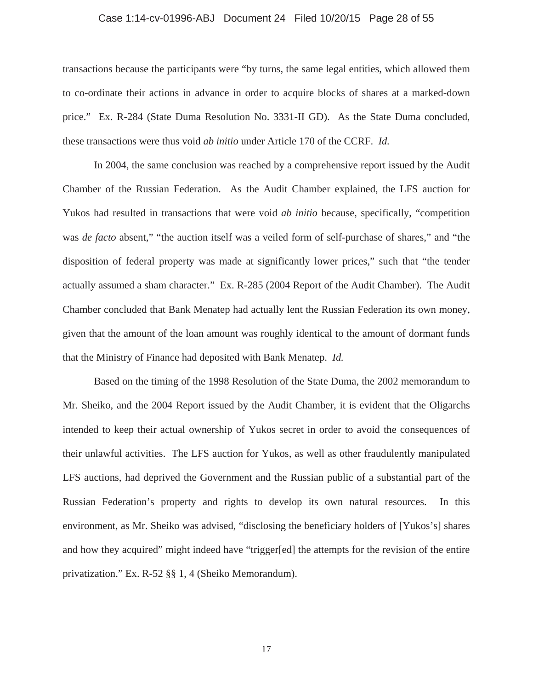# Case 1:14-cv-01996-ABJ Document 24 Filed 10/20/15 Page 28 of 55

transactions because the participants were "by turns, the same legal entities, which allowed them to co-ordinate their actions in advance in order to acquire blocks of shares at a marked-down price." Ex. R-284 (State Duma Resolution No. 3331-II GD). As the State Duma concluded, these transactions were thus void *ab initio* under Article 170 of the CCRF. *Id.*

In 2004, the same conclusion was reached by a comprehensive report issued by the Audit Chamber of the Russian Federation. As the Audit Chamber explained, the LFS auction for Yukos had resulted in transactions that were void *ab initio* because, specifically, "competition was *de facto* absent," "the auction itself was a veiled form of self-purchase of shares," and "the disposition of federal property was made at significantly lower prices," such that "the tender actually assumed a sham character." Ex. R-285 (2004 Report of the Audit Chamber). The Audit Chamber concluded that Bank Menatep had actually lent the Russian Federation its own money, given that the amount of the loan amount was roughly identical to the amount of dormant funds that the Ministry of Finance had deposited with Bank Menatep. *Id.* 

Based on the timing of the 1998 Resolution of the State Duma, the 2002 memorandum to Mr. Sheiko, and the 2004 Report issued by the Audit Chamber, it is evident that the Oligarchs intended to keep their actual ownership of Yukos secret in order to avoid the consequences of their unlawful activities. The LFS auction for Yukos, as well as other fraudulently manipulated LFS auctions, had deprived the Government and the Russian public of a substantial part of the Russian Federation's property and rights to develop its own natural resources. In this environment, as Mr. Sheiko was advised, "disclosing the beneficiary holders of [Yukos's] shares and how they acquired" might indeed have "trigger[ed] the attempts for the revision of the entire privatization." Ex. R-52 §§ 1, 4 (Sheiko Memorandum).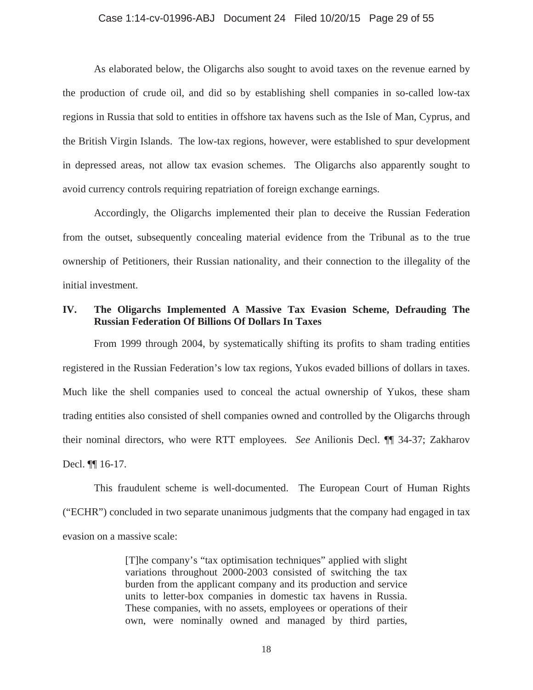### Case 1:14-cv-01996-ABJ Document 24 Filed 10/20/15 Page 29 of 55

As elaborated below, the Oligarchs also sought to avoid taxes on the revenue earned by the production of crude oil, and did so by establishing shell companies in so-called low-tax regions in Russia that sold to entities in offshore tax havens such as the Isle of Man, Cyprus, and the British Virgin Islands. The low-tax regions, however, were established to spur development in depressed areas, not allow tax evasion schemes. The Oligarchs also apparently sought to avoid currency controls requiring repatriation of foreign exchange earnings.

Accordingly, the Oligarchs implemented their plan to deceive the Russian Federation from the outset, subsequently concealing material evidence from the Tribunal as to the true ownership of Petitioners, their Russian nationality, and their connection to the illegality of the initial investment.

## **IV. The Oligarchs Implemented A Massive Tax Evasion Scheme, Defrauding The Russian Federation Of Billions Of Dollars In Taxes**

From 1999 through 2004, by systematically shifting its profits to sham trading entities registered in the Russian Federation's low tax regions, Yukos evaded billions of dollars in taxes. Much like the shell companies used to conceal the actual ownership of Yukos, these sham trading entities also consisted of shell companies owned and controlled by the Oligarchs through their nominal directors, who were RTT employees. *See* Anilionis Decl. ¶¶ 34-37; Zakharov Decl. ¶¶ 16-17.

This fraudulent scheme is well-documented. The European Court of Human Rights ("ECHR") concluded in two separate unanimous judgments that the company had engaged in tax evasion on a massive scale:

> [T]he company's "tax optimisation techniques" applied with slight variations throughout 2000-2003 consisted of switching the tax burden from the applicant company and its production and service units to letter-box companies in domestic tax havens in Russia. These companies, with no assets, employees or operations of their own, were nominally owned and managed by third parties,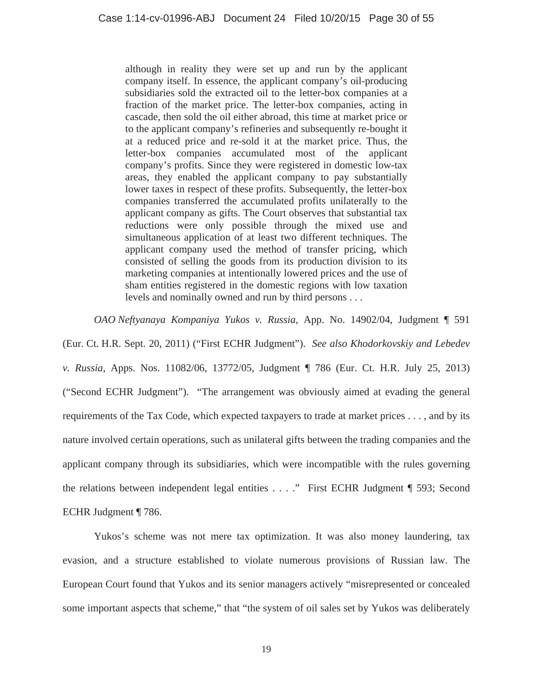although in reality they were set up and run by the applicant company itself. In essence, the applicant company's oil-producing subsidiaries sold the extracted oil to the letter-box companies at a fraction of the market price. The letter-box companies, acting in cascade, then sold the oil either abroad, this time at market price or to the applicant company's refineries and subsequently re-bought it at a reduced price and re-sold it at the market price. Thus, the letter-box companies accumulated most of the applicant company's profits. Since they were registered in domestic low-tax areas, they enabled the applicant company to pay substantially lower taxes in respect of these profits. Subsequently, the letter-box companies transferred the accumulated profits unilaterally to the applicant company as gifts. The Court observes that substantial tax reductions were only possible through the mixed use and simultaneous application of at least two different techniques. The applicant company used the method of transfer pricing, which consisted of selling the goods from its production division to its marketing companies at intentionally lowered prices and the use of sham entities registered in the domestic regions with low taxation levels and nominally owned and run by third persons . . .

*OAO Neftyanaya Kompaniya Yukos v. Russia*, App. No. 14902/04, Judgment ¶ 591

(Eur. Ct. H.R. Sept. 20, 2011) ("First ECHR Judgment"). *See also Khodorkovskiy and Lebedev v. Russia*, Apps. Nos. 11082/06, 13772/05, Judgment ¶ 786 (Eur. Ct. H.R. July 25, 2013) ("Second ECHR Judgment"). "The arrangement was obviously aimed at evading the general requirements of the Tax Code, which expected taxpayers to trade at market prices . . . , and by its nature involved certain operations, such as unilateral gifts between the trading companies and the applicant company through its subsidiaries, which were incompatible with the rules governing the relations between independent legal entities . . . ." First ECHR Judgment ¶ 593; Second ECHR Judgment ¶ 786.

Yukos's scheme was not mere tax optimization. It was also money laundering, tax evasion, and a structure established to violate numerous provisions of Russian law. The European Court found that Yukos and its senior managers actively "misrepresented or concealed some important aspects that scheme," that "the system of oil sales set by Yukos was deliberately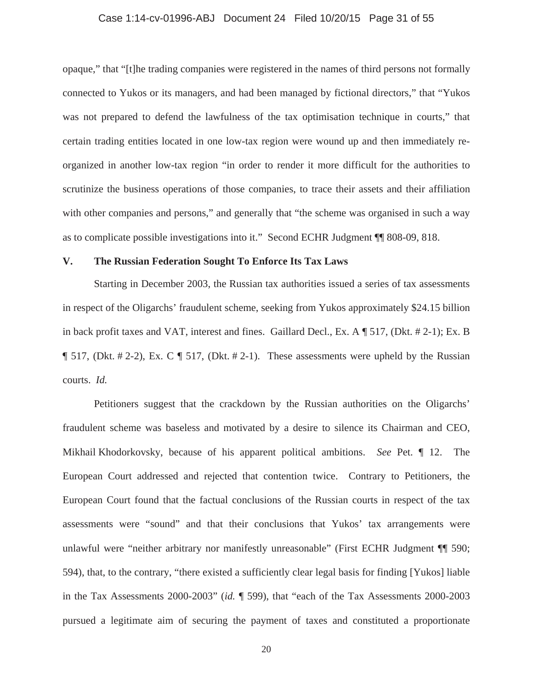### Case 1:14-cv-01996-ABJ Document 24 Filed 10/20/15 Page 31 of 55

opaque," that "[t]he trading companies were registered in the names of third persons not formally connected to Yukos or its managers, and had been managed by fictional directors," that "Yukos was not prepared to defend the lawfulness of the tax optimisation technique in courts," that certain trading entities located in one low-tax region were wound up and then immediately reorganized in another low-tax region "in order to render it more difficult for the authorities to scrutinize the business operations of those companies, to trace their assets and their affiliation with other companies and persons," and generally that "the scheme was organised in such a way as to complicate possible investigations into it." Second ECHR Judgment ¶¶ 808-09, 818.

## **V. The Russian Federation Sought To Enforce Its Tax Laws**

Starting in December 2003, the Russian tax authorities issued a series of tax assessments in respect of the Oligarchs' fraudulent scheme, seeking from Yukos approximately \$24.15 billion in back profit taxes and VAT, interest and fines. Gaillard Decl., Ex. A ¶ 517, (Dkt. # 2-1); Ex. B  $\P$  517, (Dkt. # 2-2), Ex. C  $\P$  517, (Dkt. # 2-1). These assessments were upheld by the Russian courts. *Id.*

Petitioners suggest that the crackdown by the Russian authorities on the Oligarchs' fraudulent scheme was baseless and motivated by a desire to silence its Chairman and CEO, Mikhail Khodorkovsky, because of his apparent political ambitions. *See* Pet. ¶ 12. The European Court addressed and rejected that contention twice. Contrary to Petitioners, the European Court found that the factual conclusions of the Russian courts in respect of the tax assessments were "sound" and that their conclusions that Yukos' tax arrangements were unlawful were "neither arbitrary nor manifestly unreasonable" (First ECHR Judgment ¶¶ 590; 594), that, to the contrary, "there existed a sufficiently clear legal basis for finding [Yukos] liable in the Tax Assessments 2000-2003" (*id.* ¶ 599), that "each of the Tax Assessments 2000-2003 pursued a legitimate aim of securing the payment of taxes and constituted a proportionate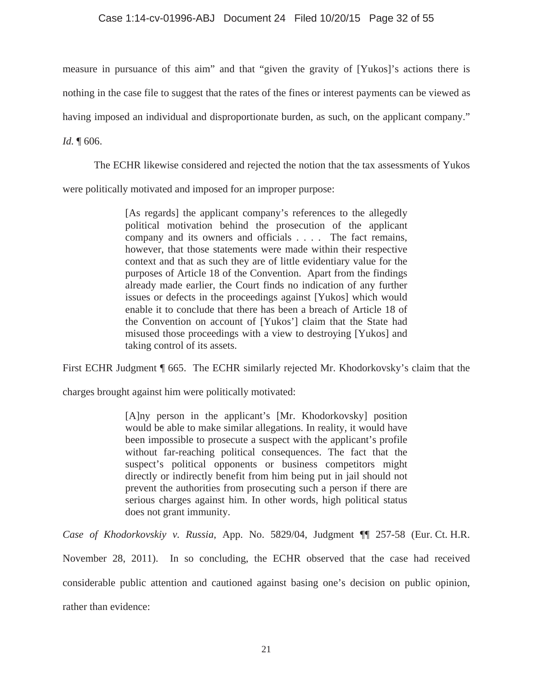## Case 1:14-cv-01996-ABJ Document 24 Filed 10/20/15 Page 32 of 55

measure in pursuance of this aim" and that "given the gravity of [Yukos]'s actions there is nothing in the case file to suggest that the rates of the fines or interest payments can be viewed as having imposed an individual and disproportionate burden, as such, on the applicant company." *Id.* ¶ 606.

The ECHR likewise considered and rejected the notion that the tax assessments of Yukos

were politically motivated and imposed for an improper purpose:

[As regards] the applicant company's references to the allegedly political motivation behind the prosecution of the applicant company and its owners and officials . . . . The fact remains, however, that those statements were made within their respective context and that as such they are of little evidentiary value for the purposes of Article 18 of the Convention. Apart from the findings already made earlier, the Court finds no indication of any further issues or defects in the proceedings against [Yukos] which would enable it to conclude that there has been a breach of Article 18 of the Convention on account of [Yukos'] claim that the State had misused those proceedings with a view to destroying [Yukos] and taking control of its assets.

First ECHR Judgment ¶ 665. The ECHR similarly rejected Mr. Khodorkovsky's claim that the

charges brought against him were politically motivated:

[A]ny person in the applicant's [Mr. Khodorkovsky] position would be able to make similar allegations. In reality, it would have been impossible to prosecute a suspect with the applicant's profile without far-reaching political consequences. The fact that the suspect's political opponents or business competitors might directly or indirectly benefit from him being put in jail should not prevent the authorities from prosecuting such a person if there are serious charges against him. In other words, high political status does not grant immunity.

*Case of Khodorkovskiy v. Russia*, App. No. 5829/04, Judgment ¶¶ 257-58 (Eur. Ct. H.R. November 28, 2011). In so concluding, the ECHR observed that the case had received considerable public attention and cautioned against basing one's decision on public opinion,

rather than evidence: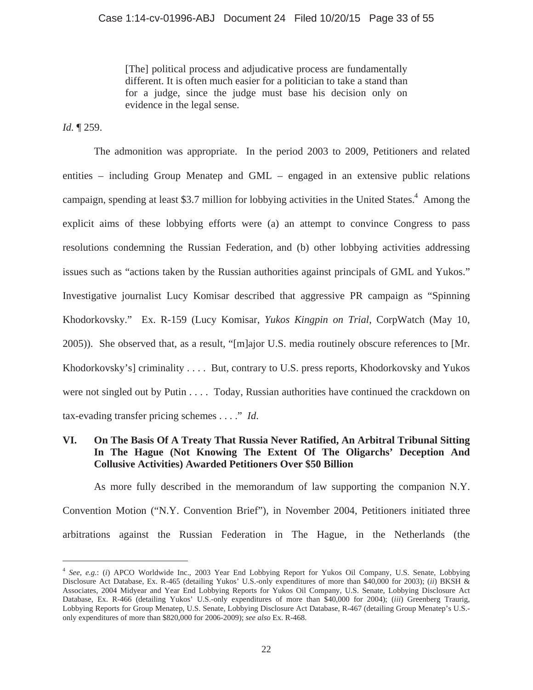[The] political process and adjudicative process are fundamentally different. It is often much easier for a politician to take a stand than for a judge, since the judge must base his decision only on evidence in the legal sense.

*Id.* ¶ 259.

 $\overline{a}$ 

The admonition was appropriate. In the period 2003 to 2009, Petitioners and related entities – including Group Menatep and GML – engaged in an extensive public relations campaign, spending at least \$3.7 million for lobbying activities in the United States.<sup>4</sup> Among the explicit aims of these lobbying efforts were (a) an attempt to convince Congress to pass resolutions condemning the Russian Federation, and (b) other lobbying activities addressing issues such as "actions taken by the Russian authorities against principals of GML and Yukos." Investigative journalist Lucy Komisar described that aggressive PR campaign as "Spinning Khodorkovsky." Ex. R-159 (Lucy Komisar, *Yukos Kingpin on Trial*, CorpWatch (May 10, 2005)). She observed that, as a result, "[m]ajor U.S. media routinely obscure references to [Mr. Khodorkovsky's] criminality . . . . But, contrary to U.S. press reports, Khodorkovsky and Yukos were not singled out by Putin . . . . Today, Russian authorities have continued the crackdown on tax-evading transfer pricing schemes . . . ." *Id*.

# **VI. On The Basis Of A Treaty That Russia Never Ratified, An Arbitral Tribunal Sitting In The Hague (Not Knowing The Extent Of The Oligarchs' Deception And Collusive Activities) Awarded Petitioners Over \$50 Billion**

As more fully described in the memorandum of law supporting the companion N.Y. Convention Motion ("N.Y. Convention Brief"), in November 2004, Petitioners initiated three arbitrations against the Russian Federation in The Hague, in the Netherlands (the

<sup>4</sup> *See*, *e.g.*: (*i*) APCO Worldwide Inc., 2003 Year End Lobbying Report for Yukos Oil Company, U.S. Senate, Lobbying Disclosure Act Database, Ex. R-465 (detailing Yukos' U.S.-only expenditures of more than \$40,000 for 2003); (*ii*) BKSH & Associates, 2004 Midyear and Year End Lobbying Reports for Yukos Oil Company, U.S. Senate, Lobbying Disclosure Act Database, Ex. R-466 (detailing Yukos' U.S.-only expenditures of more than \$40,000 for 2004); (*iii*) Greenberg Traurig, Lobbying Reports for Group Menatep, U.S. Senate, Lobbying Disclosure Act Database, R-467 (detailing Group Menatep's U.S. only expenditures of more than \$820,000 for 2006-2009); *see also* Ex. R-468.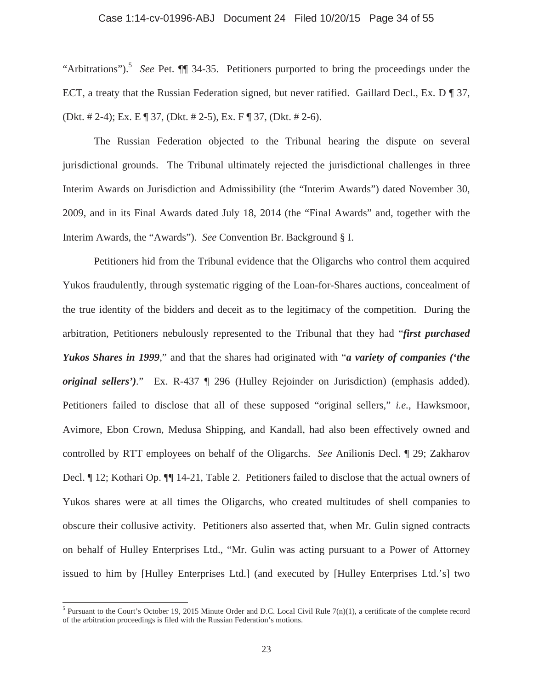## Case 1:14-cv-01996-ABJ Document 24 Filed 10/20/15 Page 34 of 55

"Arbitrations").5 *See* Pet. ¶¶ 34-35. Petitioners purported to bring the proceedings under the ECT, a treaty that the Russian Federation signed, but never ratified. Gaillard Decl., Ex. D ¶ 37, (Dkt. # 2-4); Ex. E ¶ 37, (Dkt. # 2-5), Ex. F ¶ 37, (Dkt. # 2-6).

The Russian Federation objected to the Tribunal hearing the dispute on several jurisdictional grounds. The Tribunal ultimately rejected the jurisdictional challenges in three Interim Awards on Jurisdiction and Admissibility (the "Interim Awards") dated November 30, 2009, and in its Final Awards dated July 18, 2014 (the "Final Awards" and, together with the Interim Awards, the "Awards"). *See* Convention Br. Background § I.

Petitioners hid from the Tribunal evidence that the Oligarchs who control them acquired Yukos fraudulently, through systematic rigging of the Loan-for-Shares auctions, concealment of the true identity of the bidders and deceit as to the legitimacy of the competition. During the arbitration, Petitioners nebulously represented to the Tribunal that they had "*first purchased Yukos Shares in 1999*," and that the shares had originated with "*a variety of companies ('the original sellers').*" Ex. R-437 ¶ 296 (Hulley Rejoinder on Jurisdiction) (emphasis added). Petitioners failed to disclose that all of these supposed "original sellers," *i.e.*, Hawksmoor, Avimore, Ebon Crown, Medusa Shipping, and Kandall, had also been effectively owned and controlled by RTT employees on behalf of the Oligarchs. *See* Anilionis Decl. ¶ 29; Zakharov Decl. ¶ 12; Kothari Op. ¶¶ 14-21, Table 2. Petitioners failed to disclose that the actual owners of Yukos shares were at all times the Oligarchs, who created multitudes of shell companies to obscure their collusive activity. Petitioners also asserted that, when Mr. Gulin signed contracts on behalf of Hulley Enterprises Ltd., "Mr. Gulin was acting pursuant to a Power of Attorney issued to him by [Hulley Enterprises Ltd.] (and executed by [Hulley Enterprises Ltd.'s] two

<sup>&</sup>lt;sup>5</sup> Pursuant to the Court's October 19, 2015 Minute Order and D.C. Local Civil Rule 7(n)(1), a certificate of the complete record of the arbitration proceedings is filed with the Russian Federation's motions.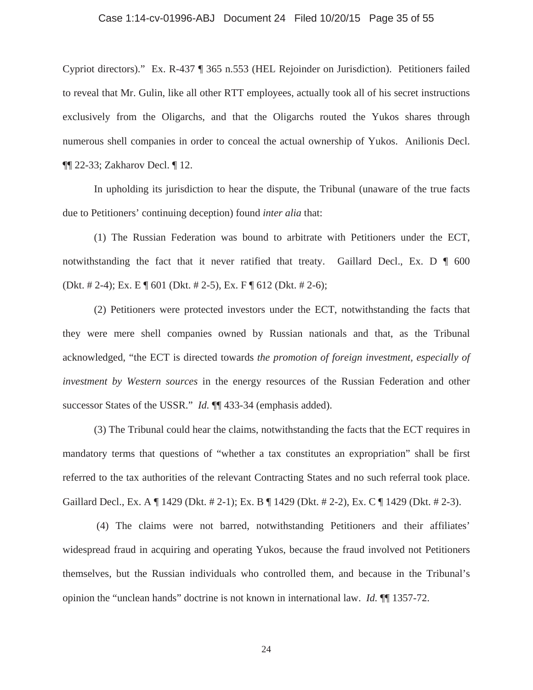### Case 1:14-cv-01996-ABJ Document 24 Filed 10/20/15 Page 35 of 55

Cypriot directors)." Ex. R-437 ¶ 365 n.553 (HEL Rejoinder on Jurisdiction). Petitioners failed to reveal that Mr. Gulin, like all other RTT employees, actually took all of his secret instructions exclusively from the Oligarchs, and that the Oligarchs routed the Yukos shares through numerous shell companies in order to conceal the actual ownership of Yukos. Anilionis Decl. ¶¶ 22-33; Zakharov Decl. ¶ 12.

In upholding its jurisdiction to hear the dispute, the Tribunal (unaware of the true facts due to Petitioners' continuing deception) found *inter alia* that:

(1) The Russian Federation was bound to arbitrate with Petitioners under the ECT, notwithstanding the fact that it never ratified that treaty. Gaillard Decl., Ex. D ¶ 600 (Dkt. # 2-4); Ex. E ¶ 601 (Dkt. # 2-5), Ex. F ¶ 612 (Dkt. # 2-6);

(2) Petitioners were protected investors under the ECT, notwithstanding the facts that they were mere shell companies owned by Russian nationals and that, as the Tribunal acknowledged, "the ECT is directed towards *the promotion of foreign investment, especially of investment by Western sources* in the energy resources of the Russian Federation and other successor States of the USSR." *Id.* ¶ 433-34 (emphasis added).

(3) The Tribunal could hear the claims, notwithstanding the facts that the ECT requires in mandatory terms that questions of "whether a tax constitutes an expropriation" shall be first referred to the tax authorities of the relevant Contracting States and no such referral took place. Gaillard Decl., Ex. A ¶ 1429 (Dkt. # 2-1); Ex. B ¶ 1429 (Dkt. # 2-2), Ex. C ¶ 1429 (Dkt. # 2-3).

 (4) The claims were not barred, notwithstanding Petitioners and their affiliates' widespread fraud in acquiring and operating Yukos, because the fraud involved not Petitioners themselves, but the Russian individuals who controlled them, and because in the Tribunal's opinion the "unclean hands" doctrine is not known in international law. *Id.* ¶¶ 1357-72.

24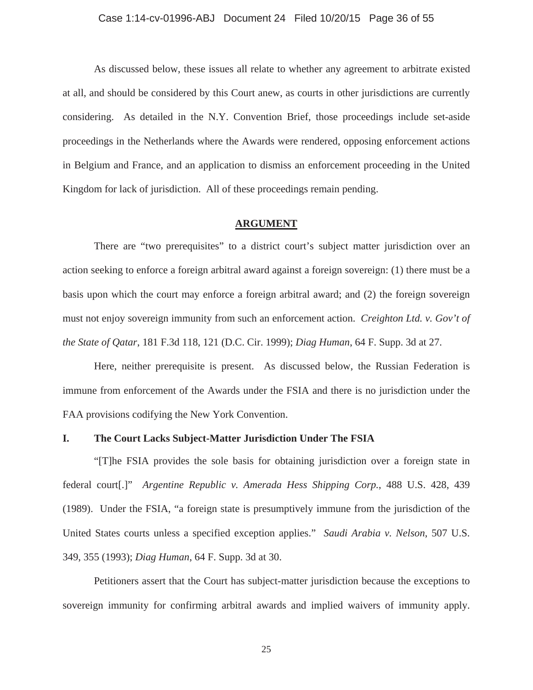# Case 1:14-cv-01996-ABJ Document 24 Filed 10/20/15 Page 36 of 55

As discussed below, these issues all relate to whether any agreement to arbitrate existed at all, and should be considered by this Court anew, as courts in other jurisdictions are currently considering. As detailed in the N.Y. Convention Brief, those proceedings include set-aside proceedings in the Netherlands where the Awards were rendered, opposing enforcement actions in Belgium and France, and an application to dismiss an enforcement proceeding in the United Kingdom for lack of jurisdiction. All of these proceedings remain pending.

### **ARGUMENT**

There are "two prerequisites" to a district court's subject matter jurisdiction over an action seeking to enforce a foreign arbitral award against a foreign sovereign: (1) there must be a basis upon which the court may enforce a foreign arbitral award; and (2) the foreign sovereign must not enjoy sovereign immunity from such an enforcement action. *Creighton Ltd. v. Gov't of the State of Qatar*, 181 F.3d 118, 121 (D.C. Cir. 1999); *Diag Human*, 64 F. Supp. 3d at 27.

Here, neither prerequisite is present. As discussed below, the Russian Federation is immune from enforcement of the Awards under the FSIA and there is no jurisdiction under the FAA provisions codifying the New York Convention.

## **I. The Court Lacks Subject-Matter Jurisdiction Under The FSIA**

"[T]he FSIA provides the sole basis for obtaining jurisdiction over a foreign state in federal court[.]" *Argentine Republic v. Amerada Hess Shipping Corp.*, 488 U.S. 428, 439 (1989). Under the FSIA, "a foreign state is presumptively immune from the jurisdiction of the United States courts unless a specified exception applies." *Saudi Arabia v. Nelson*, 507 U.S. 349, 355 (1993); *Diag Human*, 64 F. Supp. 3d at 30.

Petitioners assert that the Court has subject-matter jurisdiction because the exceptions to sovereign immunity for confirming arbitral awards and implied waivers of immunity apply.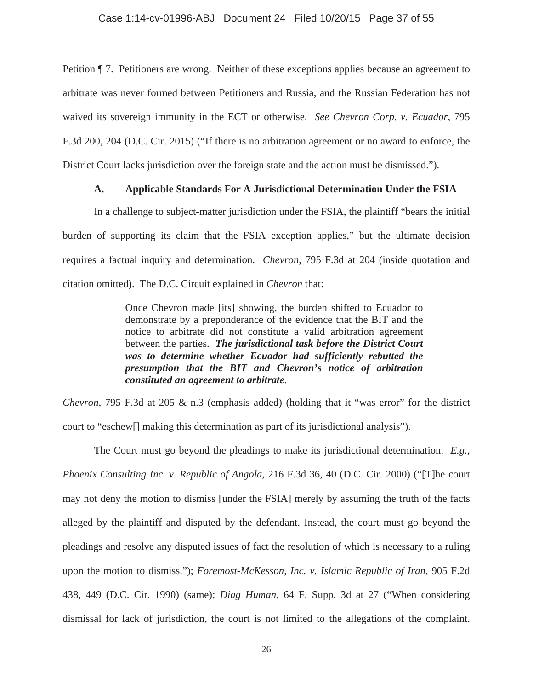Petition ¶ 7. Petitioners are wrong. Neither of these exceptions applies because an agreement to arbitrate was never formed between Petitioners and Russia, and the Russian Federation has not waived its sovereign immunity in the ECT or otherwise. *See Chevron Corp. v. Ecuador*, 795 F.3d 200, 204 (D.C. Cir. 2015) ("If there is no arbitration agreement or no award to enforce, the District Court lacks jurisdiction over the foreign state and the action must be dismissed.").

## **A. Applicable Standards For A Jurisdictional Determination Under the FSIA**

In a challenge to subject-matter jurisdiction under the FSIA, the plaintiff "bears the initial burden of supporting its claim that the FSIA exception applies," but the ultimate decision requires a factual inquiry and determination. *Chevron*, 795 F.3d at 204 (inside quotation and citation omitted). The D.C. Circuit explained in *Chevron* that:

> Once Chevron made [its] showing, the burden shifted to Ecuador to demonstrate by a preponderance of the evidence that the BIT and the notice to arbitrate did not constitute a valid arbitration agreement between the parties. *The jurisdictional task before the District Court was to determine whether Ecuador had sufficiently rebutted the presumption that the BIT and Chevron's notice of arbitration constituted an agreement to arbitrate*.

*Chevron*, 795 F.3d at 205 & n.3 (emphasis added) (holding that it "was error" for the district court to "eschew[] making this determination as part of its jurisdictional analysis").

The Court must go beyond the pleadings to make its jurisdictional determination. *E.g., Phoenix Consulting Inc. v. Republic of Angola*, 216 F.3d 36, 40 (D.C. Cir. 2000) ("[T]he court may not deny the motion to dismiss [under the FSIA] merely by assuming the truth of the facts alleged by the plaintiff and disputed by the defendant. Instead, the court must go beyond the pleadings and resolve any disputed issues of fact the resolution of which is necessary to a ruling upon the motion to dismiss."); *Foremost-McKesson, Inc. v. Islamic Republic of Iran*, 905 F.2d 438, 449 (D.C. Cir. 1990) (same); *Diag Human*, 64 F. Supp. 3d at 27 ("When considering dismissal for lack of jurisdiction, the court is not limited to the allegations of the complaint.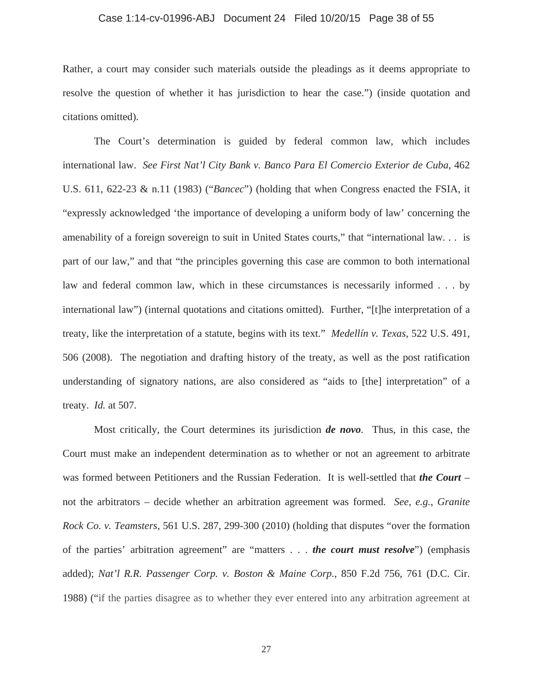### Case 1:14-cv-01996-ABJ Document 24 Filed 10/20/15 Page 38 of 55

Rather, a court may consider such materials outside the pleadings as it deems appropriate to resolve the question of whether it has jurisdiction to hear the case.") (inside quotation and citations omitted).

The Court's determination is guided by federal common law, which includes international law. *See First Nat'l City Bank v. Banco Para El Comercio Exterior de Cuba*, 462 U.S. 611, 622-23 & n.11 (1983) ("*Bancec*") (holding that when Congress enacted the FSIA, it "expressly acknowledged 'the importance of developing a uniform body of law' concerning the amenability of a foreign sovereign to suit in United States courts," that "international law. . . is part of our law," and that "the principles governing this case are common to both international law and federal common law, which in these circumstances is necessarily informed . . . by international law") (internal quotations and citations omitted). Further, "[t]he interpretation of a treaty, like the interpretation of a statute, begins with its text." *Medellín v. Texas*, 522 U.S. 491, 506 (2008). The negotiation and drafting history of the treaty, as well as the post ratification understanding of signatory nations, are also considered as "aids to [the] interpretation" of a treaty. *Id.* at 507.

Most critically, the Court determines its jurisdiction *de novo*. Thus, in this case, the Court must make an independent determination as to whether or not an agreement to arbitrate was formed between Petitioners and the Russian Federation. It is well-settled that *the Court* – not the arbitrators – decide whether an arbitration agreement was formed. *See, e.g.*, *Granite Rock Co. v. Teamsters*, 561 U.S. 287, 299-300 (2010) (holding that disputes "over the formation of the parties' arbitration agreement" are "matters . . . *the court must resolve*") (emphasis added); *Nat'l R.R. Passenger Corp. v. Boston & Maine Corp.*, 850 F.2d 756, 761 (D.C. Cir. 1988) ("if the parties disagree as to whether they ever entered into any arbitration agreement at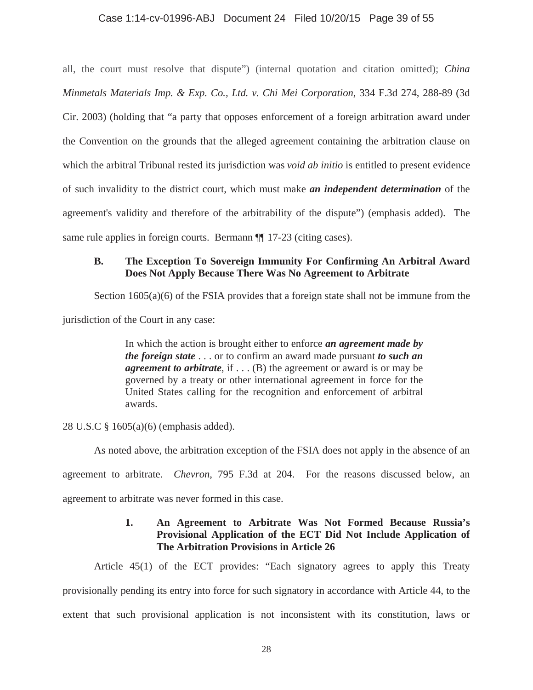## Case 1:14-cv-01996-ABJ Document 24 Filed 10/20/15 Page 39 of 55

all, the court must resolve that dispute") (internal quotation and citation omitted); *China Minmetals Materials Imp. & Exp. Co., Ltd. v. Chi Mei Corporation*, 334 F.3d 274, 288-89 (3d Cir. 2003) (holding that "a party that opposes enforcement of a foreign arbitration award under the Convention on the grounds that the alleged agreement containing the arbitration clause on which the arbitral Tribunal rested its jurisdiction was *void ab initio* is entitled to present evidence of such invalidity to the district court, which must make *an independent determination* of the agreement's validity and therefore of the arbitrability of the dispute") (emphasis added). The same rule applies in foreign courts. Bermann  $\P$  17-23 (citing cases).

# **B. The Exception To Sovereign Immunity For Confirming An Arbitral Award Does Not Apply Because There Was No Agreement to Arbitrate**

Section 1605(a)(6) of the FSIA provides that a foreign state shall not be immune from the jurisdiction of the Court in any case:

> In which the action is brought either to enforce *an agreement made by the foreign state* . . . or to confirm an award made pursuant *to such an agreement to arbitrate*, if . . . (B) the agreement or award is or may be governed by a treaty or other international agreement in force for the United States calling for the recognition and enforcement of arbitral awards.

28 U.S.C § 1605(a)(6) (emphasis added).

As noted above, the arbitration exception of the FSIA does not apply in the absence of an

agreement to arbitrate. *Chevron*, 795 F.3d at 204. For the reasons discussed below, an

agreement to arbitrate was never formed in this case.

# **1. An Agreement to Arbitrate Was Not Formed Because Russia's Provisional Application of the ECT Did Not Include Application of The Arbitration Provisions in Article 26**

Article 45(1) of the ECT provides: "Each signatory agrees to apply this Treaty

provisionally pending its entry into force for such signatory in accordance with Article 44, to the extent that such provisional application is not inconsistent with its constitution, laws or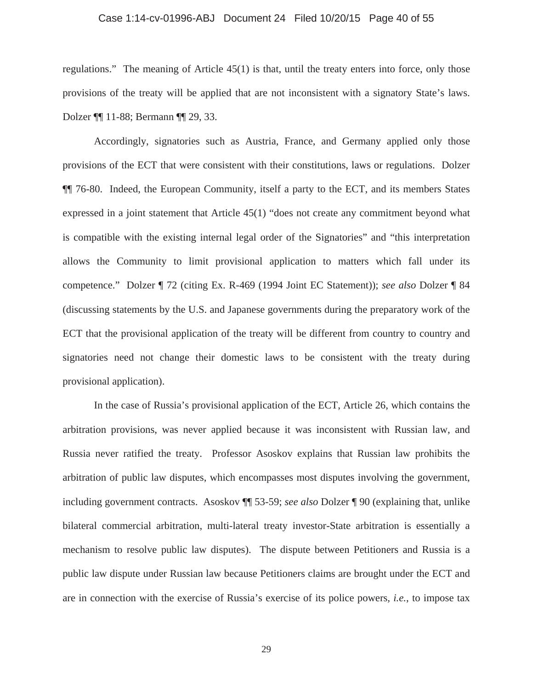### Case 1:14-cv-01996-ABJ Document 24 Filed 10/20/15 Page 40 of 55

regulations." The meaning of Article 45(1) is that, until the treaty enters into force, only those provisions of the treaty will be applied that are not inconsistent with a signatory State's laws. Dolzer ¶¶ 11-88; Bermann ¶¶ 29, 33.

Accordingly, signatories such as Austria, France, and Germany applied only those provisions of the ECT that were consistent with their constitutions, laws or regulations. Dolzer ¶¶ 76-80. Indeed, the European Community, itself a party to the ECT, and its members States expressed in a joint statement that Article 45(1) "does not create any commitment beyond what is compatible with the existing internal legal order of the Signatories" and "this interpretation allows the Community to limit provisional application to matters which fall under its competence." Dolzer ¶ 72 (citing Ex. R-469 (1994 Joint EC Statement)); *see also* Dolzer ¶ 84 (discussing statements by the U.S. and Japanese governments during the preparatory work of the ECT that the provisional application of the treaty will be different from country to country and signatories need not change their domestic laws to be consistent with the treaty during provisional application).

In the case of Russia's provisional application of the ECT, Article 26, which contains the arbitration provisions, was never applied because it was inconsistent with Russian law, and Russia never ratified the treaty. Professor Asoskov explains that Russian law prohibits the arbitration of public law disputes, which encompasses most disputes involving the government, including government contracts. Asoskov ¶¶ 53-59; *see also* Dolzer ¶ 90 (explaining that, unlike bilateral commercial arbitration, multi-lateral treaty investor-State arbitration is essentially a mechanism to resolve public law disputes). The dispute between Petitioners and Russia is a public law dispute under Russian law because Petitioners claims are brought under the ECT and are in connection with the exercise of Russia's exercise of its police powers*, i.e.*, to impose tax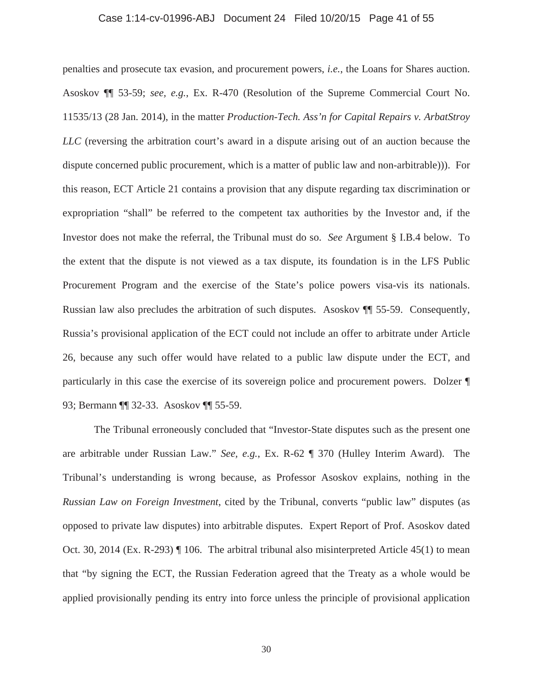## Case 1:14-cv-01996-ABJ Document 24 Filed 10/20/15 Page 41 of 55

penalties and prosecute tax evasion, and procurement powers, *i.e.*, the Loans for Shares auction. Asoskov ¶¶ 53-59; *see, e.g.*, Ex. R-470 (Resolution of the Supreme Commercial Court No. 11535/13 (28 Jan. 2014), in the matter *Production-Tech. Ass'n for Capital Repairs v. ArbatStroy LLC* (reversing the arbitration court's award in a dispute arising out of an auction because the dispute concerned public procurement, which is a matter of public law and non-arbitrable))). For this reason, ECT Article 21 contains a provision that any dispute regarding tax discrimination or expropriation "shall" be referred to the competent tax authorities by the Investor and, if the Investor does not make the referral, the Tribunal must do so. *See* Argument § I.B.4 below. To the extent that the dispute is not viewed as a tax dispute, its foundation is in the LFS Public Procurement Program and the exercise of the State's police powers visa-vis its nationals. Russian law also precludes the arbitration of such disputes. Asoskov ¶¶ 55-59. Consequently, Russia's provisional application of the ECT could not include an offer to arbitrate under Article 26, because any such offer would have related to a public law dispute under the ECT, and particularly in this case the exercise of its sovereign police and procurement powers. Dolzer ¶ 93; Bermann ¶¶ 32-33. Asoskov ¶¶ 55-59.

The Tribunal erroneously concluded that "Investor-State disputes such as the present one are arbitrable under Russian Law." *See, e.g.*, Ex. R-62 ¶ 370 (Hulley Interim Award). The Tribunal's understanding is wrong because, as Professor Asoskov explains, nothing in the *Russian Law on Foreign Investment*, cited by the Tribunal, converts "public law" disputes (as opposed to private law disputes) into arbitrable disputes. Expert Report of Prof. Asoskov dated Oct. 30, 2014 (Ex. R-293) ¶ 106. The arbitral tribunal also misinterpreted Article 45(1) to mean that "by signing the ECT, the Russian Federation agreed that the Treaty as a whole would be applied provisionally pending its entry into force unless the principle of provisional application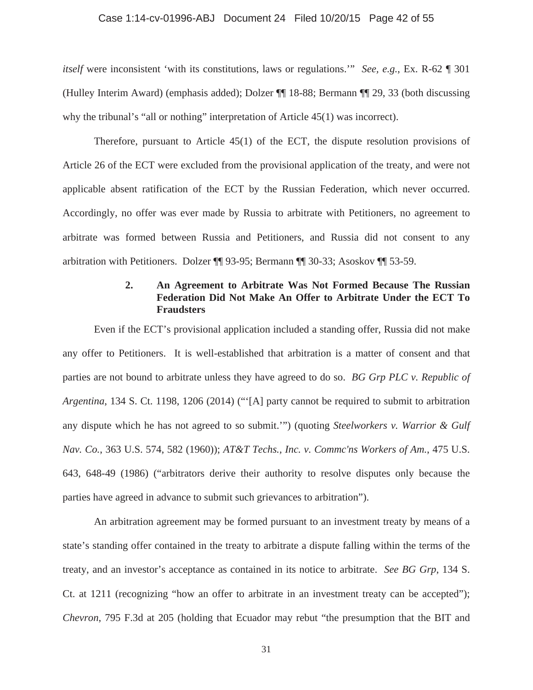### Case 1:14-cv-01996-ABJ Document 24 Filed 10/20/15 Page 42 of 55

*itself* were inconsistent 'with its constitutions, laws or regulations.'" *See, e.g.*, Ex. R-62 ¶ 301 (Hulley Interim Award) (emphasis added); Dolzer ¶¶ 18-88; Bermann ¶¶ 29, 33 (both discussing why the tribunal's "all or nothing" interpretation of Article 45(1) was incorrect).

Therefore, pursuant to Article 45(1) of the ECT, the dispute resolution provisions of Article 26 of the ECT were excluded from the provisional application of the treaty, and were not applicable absent ratification of the ECT by the Russian Federation, which never occurred. Accordingly, no offer was ever made by Russia to arbitrate with Petitioners, no agreement to arbitrate was formed between Russia and Petitioners, and Russia did not consent to any arbitration with Petitioners. Dolzer ¶¶ 93-95; Bermann ¶¶ 30-33; Asoskov ¶¶ 53-59.

# **2. An Agreement to Arbitrate Was Not Formed Because The Russian Federation Did Not Make An Offer to Arbitrate Under the ECT To Fraudsters**

Even if the ECT's provisional application included a standing offer, Russia did not make any offer to Petitioners. It is well-established that arbitration is a matter of consent and that parties are not bound to arbitrate unless they have agreed to do so. *BG Grp PLC v. Republic of Argentina*, 134 S. Ct. 1198, 1206 (2014) ("'[A] party cannot be required to submit to arbitration any dispute which he has not agreed to so submit.'") (quoting *Steelworkers v. Warrior & Gulf Nav. Co.*, 363 U.S. 574, 582 (1960)); *AT&T Techs., Inc. v. Commc'ns Workers of Am.*, 475 U.S. 643, 648-49 (1986) ("arbitrators derive their authority to resolve disputes only because the parties have agreed in advance to submit such grievances to arbitration").

An arbitration agreement may be formed pursuant to an investment treaty by means of a state's standing offer contained in the treaty to arbitrate a dispute falling within the terms of the treaty, and an investor's acceptance as contained in its notice to arbitrate. *See BG Grp*, 134 S. Ct. at 1211 (recognizing "how an offer to arbitrate in an investment treaty can be accepted"); *Chevron*, 795 F.3d at 205 (holding that Ecuador may rebut "the presumption that the BIT and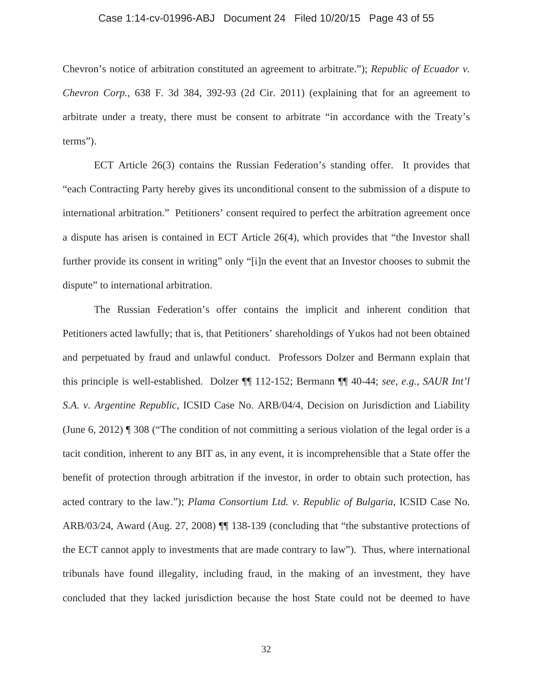# Case 1:14-cv-01996-ABJ Document 24 Filed 10/20/15 Page 43 of 55

Chevron's notice of arbitration constituted an agreement to arbitrate."); *Republic of Ecuador v. Chevron Corp.*, 638 F. 3d 384, 392-93 (2d Cir. 2011) (explaining that for an agreement to arbitrate under a treaty, there must be consent to arbitrate "in accordance with the Treaty's terms").

ECT Article 26(3) contains the Russian Federation's standing offer. It provides that "each Contracting Party hereby gives its unconditional consent to the submission of a dispute to international arbitration." Petitioners' consent required to perfect the arbitration agreement once a dispute has arisen is contained in ECT Article 26(4), which provides that "the Investor shall further provide its consent in writing" only "[i]n the event that an Investor chooses to submit the dispute" to international arbitration.

The Russian Federation's offer contains the implicit and inherent condition that Petitioners acted lawfully; that is, that Petitioners' shareholdings of Yukos had not been obtained and perpetuated by fraud and unlawful conduct. Professors Dolzer and Bermann explain that this principle is well-established. Dolzer ¶¶ 112-152; Bermann ¶¶ 40-44; *see, e.g.*, *SAUR Int'l S.A. v. Argentine Republic*, ICSID Case No. ARB/04/4, Decision on Jurisdiction and Liability (June 6, 2012) ¶ 308 ("The condition of not committing a serious violation of the legal order is a tacit condition, inherent to any BIT as, in any event, it is incomprehensible that a State offer the benefit of protection through arbitration if the investor, in order to obtain such protection, has acted contrary to the law."); *Plama Consortium Ltd. v. Republic of Bulgaria*, ICSID Case No. ARB/03/24, Award (Aug. 27, 2008) ¶¶ 138-139 (concluding that "the substantive protections of the ECT cannot apply to investments that are made contrary to law"). Thus, where international tribunals have found illegality, including fraud, in the making of an investment, they have concluded that they lacked jurisdiction because the host State could not be deemed to have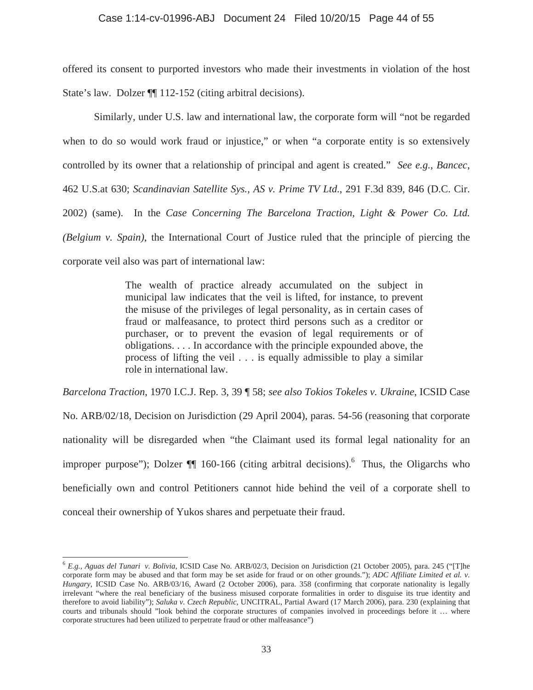offered its consent to purported investors who made their investments in violation of the host State's law. Dolzer  $\P$  112-152 (citing arbitral decisions).

Similarly, under U.S. law and international law, the corporate form will "not be regarded when to do so would work fraud or injustice," or when "a corporate entity is so extensively controlled by its owner that a relationship of principal and agent is created." *See e.g.*, *Bancec*, 462 U.S.at 630; *Scandinavian Satellite Sys., AS v. Prime TV Ltd.*, 291 F.3d 839, 846 (D.C. Cir. 2002) (same). In the *Case Concerning The Barcelona Traction, Light & Power Co. Ltd. (Belgium v. Spain)*, the International Court of Justice ruled that the principle of piercing the corporate veil also was part of international law:

> The wealth of practice already accumulated on the subject in municipal law indicates that the veil is lifted, for instance, to prevent the misuse of the privileges of legal personality, as in certain cases of fraud or malfeasance, to protect third persons such as a creditor or purchaser, or to prevent the evasion of legal requirements or of obligations. . . . In accordance with the principle expounded above, the process of lifting the veil . . . is equally admissible to play a similar role in international law.

*Barcelona Traction*, 1970 I.C.J. Rep. 3, 39 ¶ 58; *see also Tokios Tokeles v. Ukraine*, ICSID Case No. ARB/02/18, Decision on Jurisdiction (29 April 2004), paras. 54-56 (reasoning that corporate nationality will be disregarded when "the Claimant used its formal legal nationality for an improper purpose"); Dolzer  $\P$  160-166 (citing arbitral decisions).<sup>6</sup> Thus, the Oligarchs who beneficially own and control Petitioners cannot hide behind the veil of a corporate shell to conceal their ownership of Yukos shares and perpetuate their fraud.

 $\overline{a}$ 

<sup>6</sup> *E.g., Aguas del Tunari v. Bolivia*, ICSID Case No. ARB/02/3, Decision on Jurisdiction (21 October 2005), para. 245 ("[T]he corporate form may be abused and that form may be set aside for fraud or on other grounds."); *ADC Affiliate Limited et al. v. Hungary*, ICSID Case No. ARB/03/16, Award (2 October 2006), para. 358 (confirming that corporate nationality is legally irrelevant "where the real beneficiary of the business misused corporate formalities in order to disguise its true identity and therefore to avoid liability"); *Saluka v. Czech Republic*, UNCITRAL, Partial Award (17 March 2006), para. 230 (explaining that courts and tribunals should "look behind the corporate structures of companies involved in proceedings before it … where corporate structures had been utilized to perpetrate fraud or other malfeasance")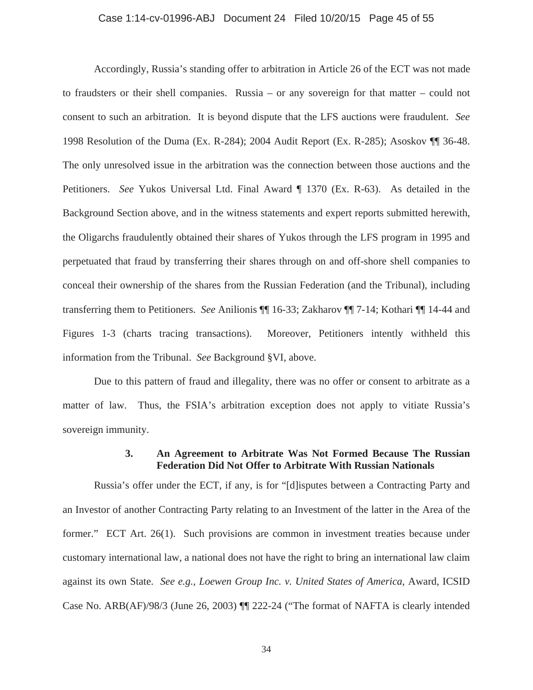### Case 1:14-cv-01996-ABJ Document 24 Filed 10/20/15 Page 45 of 55

Accordingly, Russia's standing offer to arbitration in Article 26 of the ECT was not made to fraudsters or their shell companies. Russia – or any sovereign for that matter – could not consent to such an arbitration. It is beyond dispute that the LFS auctions were fraudulent. *See* 1998 Resolution of the Duma (Ex. R-284); 2004 Audit Report (Ex. R-285); Asoskov ¶¶ 36-48. The only unresolved issue in the arbitration was the connection between those auctions and the Petitioners. *See* Yukos Universal Ltd. Final Award ¶ 1370 (Ex. R-63). As detailed in the Background Section above, and in the witness statements and expert reports submitted herewith, the Oligarchs fraudulently obtained their shares of Yukos through the LFS program in 1995 and perpetuated that fraud by transferring their shares through on and off-shore shell companies to conceal their ownership of the shares from the Russian Federation (and the Tribunal), including transferring them to Petitioners. *See* Anilionis ¶¶ 16-33; Zakharov ¶¶ 7-14; Kothari ¶¶ 14-44 and Figures 1-3 (charts tracing transactions). Moreover, Petitioners intently withheld this information from the Tribunal. *See* Background §VI, above.

Due to this pattern of fraud and illegality, there was no offer or consent to arbitrate as a matter of law. Thus, the FSIA's arbitration exception does not apply to vitiate Russia's sovereign immunity.

## **3. An Agreement to Arbitrate Was Not Formed Because The Russian Federation Did Not Offer to Arbitrate With Russian Nationals**

Russia's offer under the ECT, if any, is for "[d]isputes between a Contracting Party and an Investor of another Contracting Party relating to an Investment of the latter in the Area of the former." ECT Art. 26(1). Such provisions are common in investment treaties because under customary international law, a national does not have the right to bring an international law claim against its own State. *See e.g., Loewen Group Inc. v. United States of America*, Award, ICSID Case No. ARB(AF)/98/3 (June 26, 2003) ¶¶ 222-24 ("The format of NAFTA is clearly intended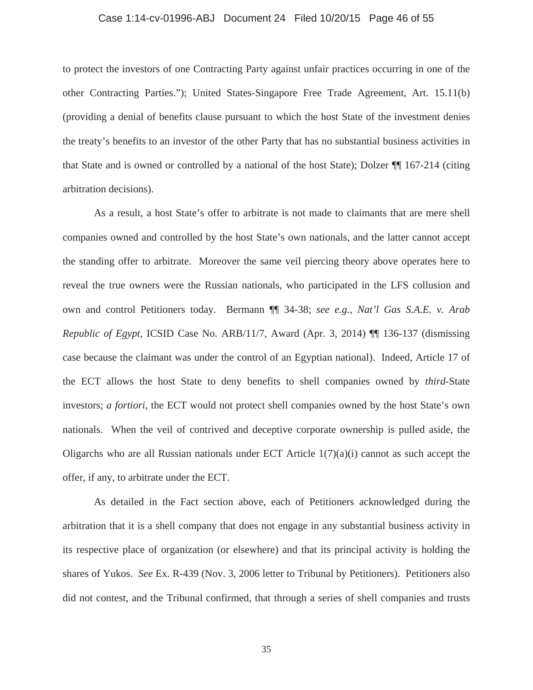### Case 1:14-cv-01996-ABJ Document 24 Filed 10/20/15 Page 46 of 55

to protect the investors of one Contracting Party against unfair practices occurring in one of the other Contracting Parties."); United States-Singapore Free Trade Agreement, Art. 15.11(b) (providing a denial of benefits clause pursuant to which the host State of the investment denies the treaty's benefits to an investor of the other Party that has no substantial business activities in that State and is owned or controlled by a national of the host State); Dolzer ¶¶ 167-214 (citing arbitration decisions).

As a result, a host State's offer to arbitrate is not made to claimants that are mere shell companies owned and controlled by the host State's own nationals, and the latter cannot accept the standing offer to arbitrate. Moreover the same veil piercing theory above operates here to reveal the true owners were the Russian nationals, who participated in the LFS collusion and own and control Petitioners today. Bermann ¶¶ 34-38; *see e.g., Nat'l Gas S.A.E. v. Arab Republic of Egypt*, ICSID Case No. ARB/11/7, Award (Apr. 3, 2014) ¶¶ 136-137 (dismissing case because the claimant was under the control of an Egyptian national). Indeed, Article 17 of the ECT allows the host State to deny benefits to shell companies owned by *third*-State investors; *a fortiori*, the ECT would not protect shell companies owned by the host State's own nationals. When the veil of contrived and deceptive corporate ownership is pulled aside, the Oligarchs who are all Russian nationals under ECT Article  $1(7)(a)(i)$  cannot as such accept the offer, if any, to arbitrate under the ECT.

As detailed in the Fact section above, each of Petitioners acknowledged during the arbitration that it is a shell company that does not engage in any substantial business activity in its respective place of organization (or elsewhere) and that its principal activity is holding the shares of Yukos. *See* Ex. R-439 (Nov. 3, 2006 letter to Tribunal by Petitioners). Petitioners also did not contest, and the Tribunal confirmed, that through a series of shell companies and trusts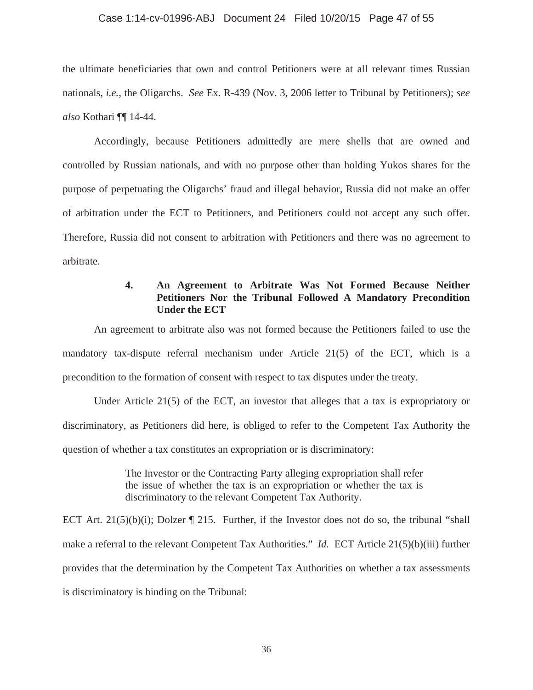## Case 1:14-cv-01996-ABJ Document 24 Filed 10/20/15 Page 47 of 55

the ultimate beneficiaries that own and control Petitioners were at all relevant times Russian nationals, *i.e.*, the Oligarchs. *See* Ex. R-439 (Nov. 3, 2006 letter to Tribunal by Petitioners); *see also* Kothari ¶¶ 14-44.

Accordingly, because Petitioners admittedly are mere shells that are owned and controlled by Russian nationals, and with no purpose other than holding Yukos shares for the purpose of perpetuating the Oligarchs' fraud and illegal behavior, Russia did not make an offer of arbitration under the ECT to Petitioners, and Petitioners could not accept any such offer. Therefore, Russia did not consent to arbitration with Petitioners and there was no agreement to arbitrate.

# **4. An Agreement to Arbitrate Was Not Formed Because Neither Petitioners Nor the Tribunal Followed A Mandatory Precondition Under the ECT**

An agreement to arbitrate also was not formed because the Petitioners failed to use the mandatory tax-dispute referral mechanism under Article 21(5) of the ECT, which is a precondition to the formation of consent with respect to tax disputes under the treaty.

Under Article 21(5) of the ECT, an investor that alleges that a tax is expropriatory or discriminatory, as Petitioners did here, is obliged to refer to the Competent Tax Authority the question of whether a tax constitutes an expropriation or is discriminatory:

> The Investor or the Contracting Party alleging expropriation shall refer the issue of whether the tax is an expropriation or whether the tax is discriminatory to the relevant Competent Tax Authority.

ECT Art.  $21(5)(b)(i)$ ; Dolzer  $\P$  215. Further, if the Investor does not do so, the tribunal "shall make a referral to the relevant Competent Tax Authorities." *Id.* ECT Article 21(5)(b)(iii) further provides that the determination by the Competent Tax Authorities on whether a tax assessments is discriminatory is binding on the Tribunal: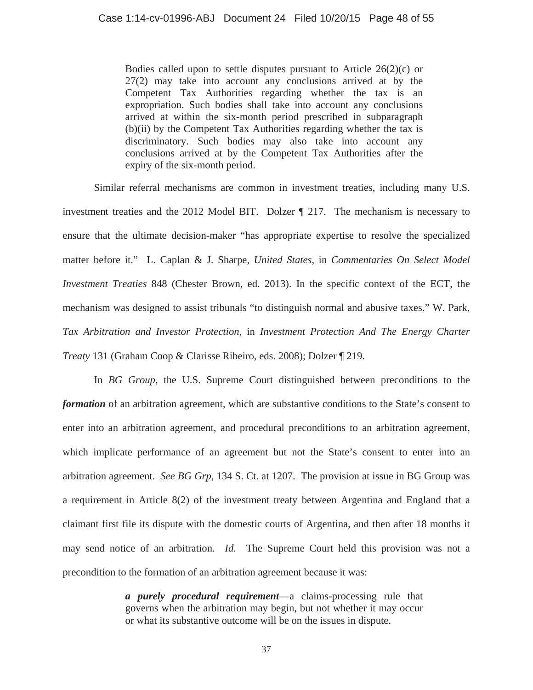Bodies called upon to settle disputes pursuant to Article  $26(2)(c)$  or 27(2) may take into account any conclusions arrived at by the Competent Tax Authorities regarding whether the tax is an expropriation. Such bodies shall take into account any conclusions arrived at within the six-month period prescribed in subparagraph (b)(ii) by the Competent Tax Authorities regarding whether the tax is discriminatory. Such bodies may also take into account any conclusions arrived at by the Competent Tax Authorities after the expiry of the six-month period.

Similar referral mechanisms are common in investment treaties, including many U.S. investment treaties and the 2012 Model BIT. Dolzer ¶ 217. The mechanism is necessary to ensure that the ultimate decision-maker "has appropriate expertise to resolve the specialized matter before it." L. Caplan & J. Sharpe, *United States*, in *Commentaries On Select Model Investment Treaties* 848 (Chester Brown, ed. 2013). In the specific context of the ECT, the mechanism was designed to assist tribunals "to distinguish normal and abusive taxes." W. Park, *Tax Arbitration and Investor Protection*, in *Investment Protection And The Energy Charter Treaty* 131 (Graham Coop & Clarisse Ribeiro, eds. 2008); Dolzer ¶ 219.

In *BG Group*, the U.S. Supreme Court distinguished between preconditions to the *formation* of an arbitration agreement, which are substantive conditions to the State's consent to enter into an arbitration agreement, and procedural preconditions to an arbitration agreement, which implicate performance of an agreement but not the State's consent to enter into an arbitration agreement. *See BG Grp*, 134 S. Ct. at 1207. The provision at issue in BG Group was a requirement in Article 8(2) of the investment treaty between Argentina and England that a claimant first file its dispute with the domestic courts of Argentina, and then after 18 months it may send notice of an arbitration. *Id.* The Supreme Court held this provision was not a precondition to the formation of an arbitration agreement because it was:

> *a purely procedural requirement*—a claims-processing rule that governs when the arbitration may begin, but not whether it may occur or what its substantive outcome will be on the issues in dispute.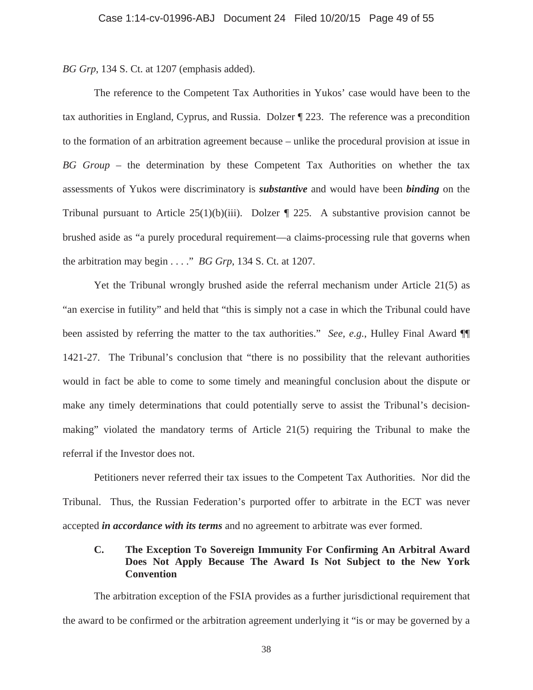*BG Grp*, 134 S. Ct. at 1207 (emphasis added).

The reference to the Competent Tax Authorities in Yukos' case would have been to the tax authorities in England, Cyprus, and Russia. Dolzer ¶ 223. The reference was a precondition to the formation of an arbitration agreement because – unlike the procedural provision at issue in *BG Group* – the determination by these Competent Tax Authorities on whether the tax assessments of Yukos were discriminatory is *substantive* and would have been *binding* on the Tribunal pursuant to Article  $25(1)(b)(iii)$ . Dolzer  $\P$  225. A substantive provision cannot be brushed aside as "a purely procedural requirement—a claims-processing rule that governs when the arbitration may begin . . . ." *BG Grp*, 134 S. Ct. at 1207.

Yet the Tribunal wrongly brushed aside the referral mechanism under Article 21(5) as "an exercise in futility" and held that "this is simply not a case in which the Tribunal could have been assisted by referring the matter to the tax authorities." *See, e.g.*, Hulley Final Award ¶¶ 1421-27. The Tribunal's conclusion that "there is no possibility that the relevant authorities would in fact be able to come to some timely and meaningful conclusion about the dispute or make any timely determinations that could potentially serve to assist the Tribunal's decisionmaking" violated the mandatory terms of Article 21(5) requiring the Tribunal to make the referral if the Investor does not.

Petitioners never referred their tax issues to the Competent Tax Authorities. Nor did the Tribunal. Thus, the Russian Federation's purported offer to arbitrate in the ECT was never accepted *in accordance with its terms* and no agreement to arbitrate was ever formed.

# **C. The Exception To Sovereign Immunity For Confirming An Arbitral Award Does Not Apply Because The Award Is Not Subject to the New York Convention**

The arbitration exception of the FSIA provides as a further jurisdictional requirement that the award to be confirmed or the arbitration agreement underlying it "is or may be governed by a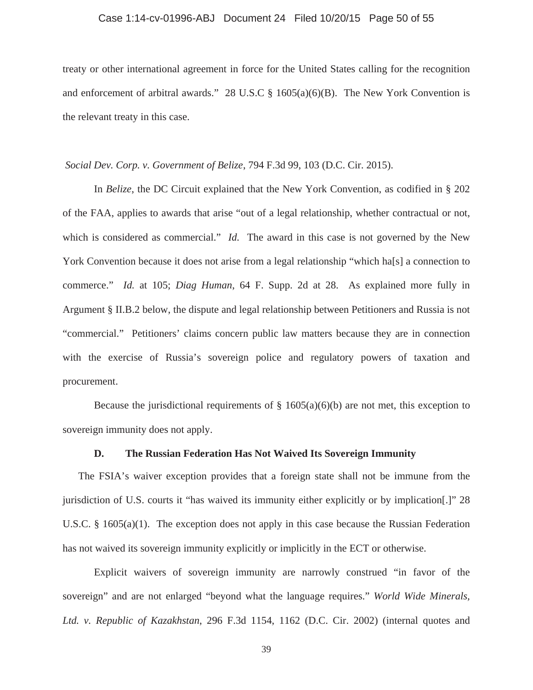### Case 1:14-cv-01996-ABJ Document 24 Filed 10/20/15 Page 50 of 55

treaty or other international agreement in force for the United States calling for the recognition and enforcement of arbitral awards." 28 U.S.C  $\S$  1605(a)(6)(B). The New York Convention is the relevant treaty in this case.

 *Social Dev. Corp. v. Government of Belize*, 794 F.3d 99, 103 (D.C. Cir. 2015).

 In *Belize*, the DC Circuit explained that the New York Convention, as codified in § 202 of the FAA, applies to awards that arise "out of a legal relationship, whether contractual or not, which is considered as commercial." *Id.* The award in this case is not governed by the New York Convention because it does not arise from a legal relationship "which ha<sup>[s]</sup> a connection to commerce." *Id.* at 105; *Diag Human*, 64 F. Supp. 2d at 28. As explained more fully in Argument § II.B.2 below, the dispute and legal relationship between Petitioners and Russia is not "commercial." Petitioners' claims concern public law matters because they are in connection with the exercise of Russia's sovereign police and regulatory powers of taxation and procurement.

Because the jurisdictional requirements of  $\S$  1605(a)(6)(b) are not met, this exception to sovereign immunity does not apply.

## **D. The Russian Federation Has Not Waived Its Sovereign Immunity**

The FSIA's waiver exception provides that a foreign state shall not be immune from the jurisdiction of U.S. courts it "has waived its immunity either explicitly or by implication[.]" 28 U.S.C.  $\S$  1605(a)(1). The exception does not apply in this case because the Russian Federation has not waived its sovereign immunity explicitly or implicitly in the ECT or otherwise.

Explicit waivers of sovereign immunity are narrowly construed "in favor of the sovereign" and are not enlarged "beyond what the language requires." *World Wide Minerals, Ltd. v. Republic of Kazakhstan*, 296 F.3d 1154, 1162 (D.C. Cir. 2002) (internal quotes and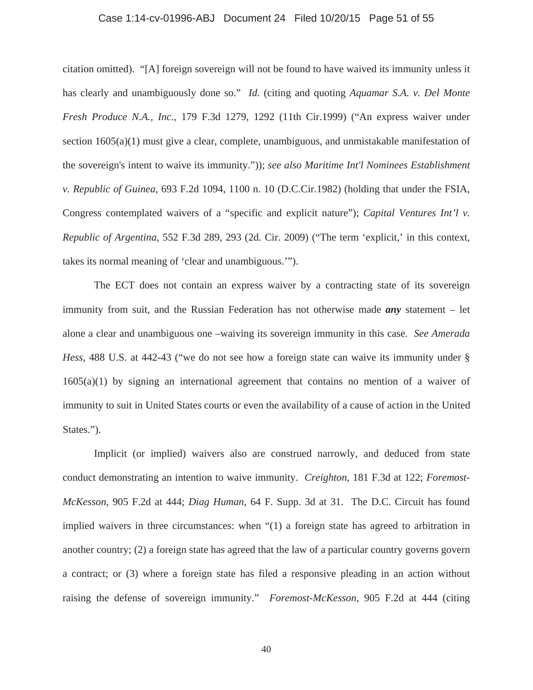### Case 1:14-cv-01996-ABJ Document 24 Filed 10/20/15 Page 51 of 55

citation omitted). "[A] foreign sovereign will not be found to have waived its immunity unless it has clearly and unambiguously done so." *Id.* (citing and quoting *Aquamar S.A. v. Del Monte Fresh Produce N.A., Inc.,* 179 F.3d 1279, 1292 (11th Cir.1999) ("An express waiver under section 1605(a)(1) must give a clear, complete, unambiguous, and unmistakable manifestation of the sovereign's intent to waive its immunity.")); *see also Maritime Int'l Nominees Establishment v. Republic of Guinea,* 693 F.2d 1094, 1100 n. 10 (D.C.Cir.1982) (holding that under the FSIA, Congress contemplated waivers of a "specific and explicit nature"); *Capital Ventures Int'l v. Republic of Argentina*, 552 F.3d 289, 293 (2d. Cir. 2009) ("The term 'explicit,' in this context, takes its normal meaning of 'clear and unambiguous.'").

The ECT does not contain an express waiver by a contracting state of its sovereign immunity from suit, and the Russian Federation has not otherwise made *any* statement – let alone a clear and unambiguous one –waiving its sovereign immunity in this case. *See Amerada Hess*, 488 U.S. at 442-43 ("we do not see how a foreign state can waive its immunity under § 1605(a)(1) by signing an international agreement that contains no mention of a waiver of immunity to suit in United States courts or even the availability of a cause of action in the United States.").

Implicit (or implied) waivers also are construed narrowly, and deduced from state conduct demonstrating an intention to waive immunity. *Creighton*, 181 F.3d at 122; *Foremost-McKesson*, 905 F.2d at 444; *Diag Human*, 64 F. Supp. 3d at 31. The D.C. Circuit has found implied waivers in three circumstances: when "(1) a foreign state has agreed to arbitration in another country; (2) a foreign state has agreed that the law of a particular country governs govern a contract; or (3) where a foreign state has filed a responsive pleading in an action without raising the defense of sovereign immunity." *Foremost-McKesson*, 905 F.2d at 444 (citing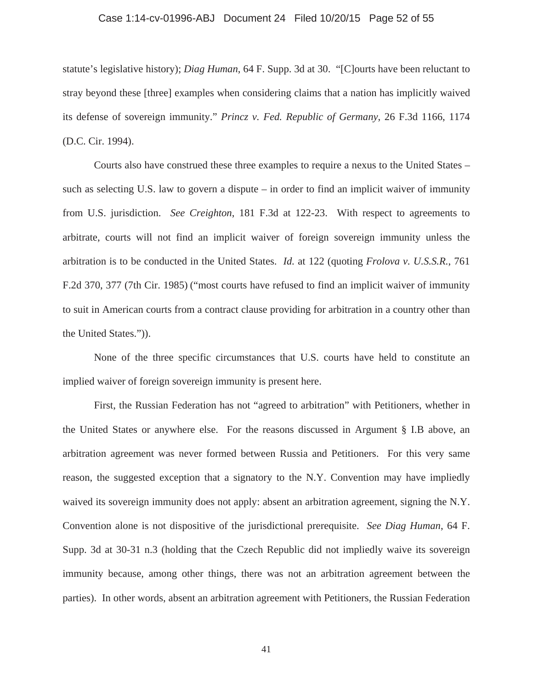### Case 1:14-cv-01996-ABJ Document 24 Filed 10/20/15 Page 52 of 55

statute's legislative history); *Diag Human*, 64 F. Supp. 3d at 30. "[C]ourts have been reluctant to stray beyond these [three] examples when considering claims that a nation has implicitly waived its defense of sovereign immunity." *Princz v. Fed. Republic of Germany*, 26 F.3d 1166, 1174 (D.C. Cir. 1994).

Courts also have construed these three examples to require a nexus to the United States – such as selecting U.S. law to govern a dispute – in order to find an implicit waiver of immunity from U.S. jurisdiction. *See Creighton*, 181 F.3d at 122-23. With respect to agreements to arbitrate, courts will not find an implicit waiver of foreign sovereign immunity unless the arbitration is to be conducted in the United States. *Id.* at 122 (quoting *Frolova v. U.S.S.R.*, 761 F.2d 370, 377 (7th Cir. 1985) ("most courts have refused to find an implicit waiver of immunity to suit in American courts from a contract clause providing for arbitration in a country other than the United States.")).

None of the three specific circumstances that U.S. courts have held to constitute an implied waiver of foreign sovereign immunity is present here.

First, the Russian Federation has not "agreed to arbitration" with Petitioners, whether in the United States or anywhere else. For the reasons discussed in Argument § I.B above, an arbitration agreement was never formed between Russia and Petitioners. For this very same reason, the suggested exception that a signatory to the N.Y. Convention may have impliedly waived its sovereign immunity does not apply: absent an arbitration agreement, signing the N.Y. Convention alone is not dispositive of the jurisdictional prerequisite. *See Diag Human*, 64 F. Supp. 3d at 30-31 n.3 (holding that the Czech Republic did not impliedly waive its sovereign immunity because, among other things, there was not an arbitration agreement between the parties). In other words, absent an arbitration agreement with Petitioners, the Russian Federation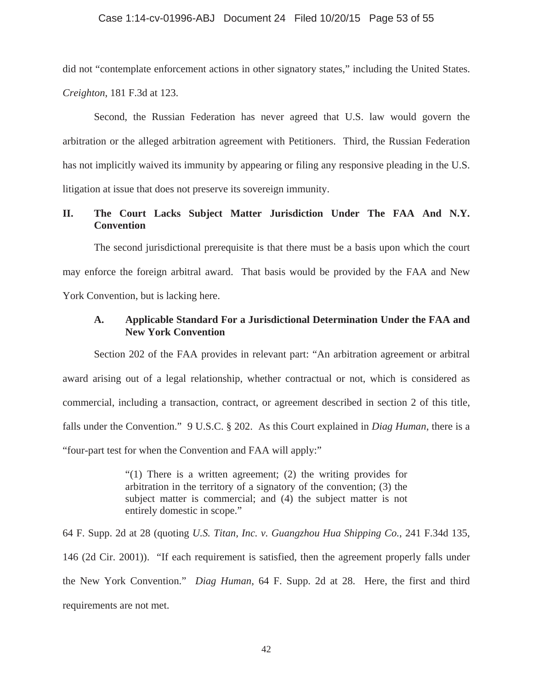did not "contemplate enforcement actions in other signatory states," including the United States. *Creighton*, 181 F.3d at 123.

Second, the Russian Federation has never agreed that U.S. law would govern the arbitration or the alleged arbitration agreement with Petitioners. Third, the Russian Federation has not implicitly waived its immunity by appearing or filing any responsive pleading in the U.S. litigation at issue that does not preserve its sovereign immunity.

# **II. The Court Lacks Subject Matter Jurisdiction Under The FAA And N.Y. Convention**

The second jurisdictional prerequisite is that there must be a basis upon which the court may enforce the foreign arbitral award. That basis would be provided by the FAA and New York Convention, but is lacking here.

## **A. Applicable Standard For a Jurisdictional Determination Under the FAA and New York Convention**

Section 202 of the FAA provides in relevant part: "An arbitration agreement or arbitral award arising out of a legal relationship, whether contractual or not, which is considered as commercial, including a transaction, contract, or agreement described in section 2 of this title, falls under the Convention." 9 U.S.C. § 202. As this Court explained in *Diag Human*, there is a "four-part test for when the Convention and FAA will apply:"

> "(1) There is a written agreement; (2) the writing provides for arbitration in the territory of a signatory of the convention; (3) the subject matter is commercial; and (4) the subject matter is not entirely domestic in scope."

64 F. Supp. 2d at 28 (quoting *U.S. Titan, Inc. v. Guangzhou Hua Shipping Co.*, 241 F.34d 135, 146 (2d Cir. 2001)). "If each requirement is satisfied, then the agreement properly falls under the New York Convention." *Diag Human*, 64 F. Supp. 2d at 28. Here, the first and third requirements are not met.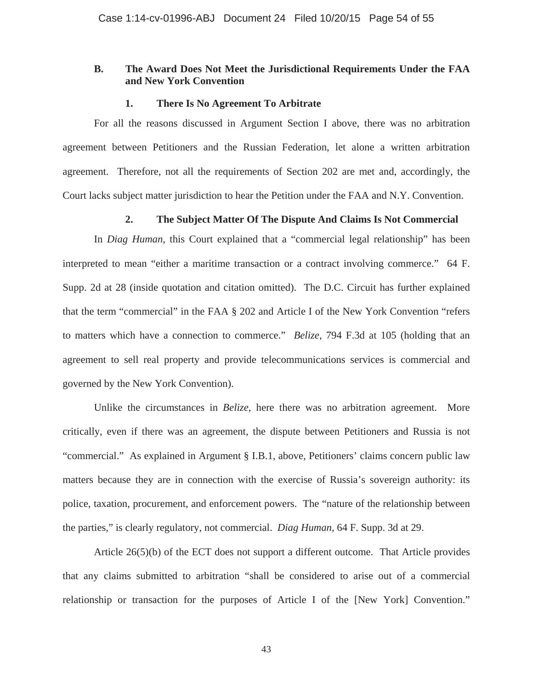## **B. The Award Does Not Meet the Jurisdictional Requirements Under the FAA and New York Convention**

## **1. There Is No Agreement To Arbitrate**

For all the reasons discussed in Argument Section I above, there was no arbitration agreement between Petitioners and the Russian Federation, let alone a written arbitration agreement. Therefore, not all the requirements of Section 202 are met and, accordingly, the Court lacks subject matter jurisdiction to hear the Petition under the FAA and N.Y. Convention.

## **2. The Subject Matter Of The Dispute And Claims Is Not Commercial**

In *Diag Human*, this Court explained that a "commercial legal relationship" has been interpreted to mean "either a maritime transaction or a contract involving commerce." 64 F. Supp. 2d at 28 (inside quotation and citation omitted). The D.C. Circuit has further explained that the term "commercial" in the FAA § 202 and Article I of the New York Convention "refers to matters which have a connection to commerce." *Belize*, 794 F.3d at 105 (holding that an agreement to sell real property and provide telecommunications services is commercial and governed by the New York Convention).

Unlike the circumstances in *Belize*, here there was no arbitration agreement. More critically, even if there was an agreement, the dispute between Petitioners and Russia is not "commercial." As explained in Argument § I.B.1, above, Petitioners' claims concern public law matters because they are in connection with the exercise of Russia's sovereign authority: its police, taxation, procurement, and enforcement powers. The "nature of the relationship between the parties," is clearly regulatory, not commercial. *Diag Human*, 64 F. Supp. 3d at 29.

Article 26(5)(b) of the ECT does not support a different outcome. That Article provides that any claims submitted to arbitration "shall be considered to arise out of a commercial relationship or transaction for the purposes of Article I of the [New York] Convention."

43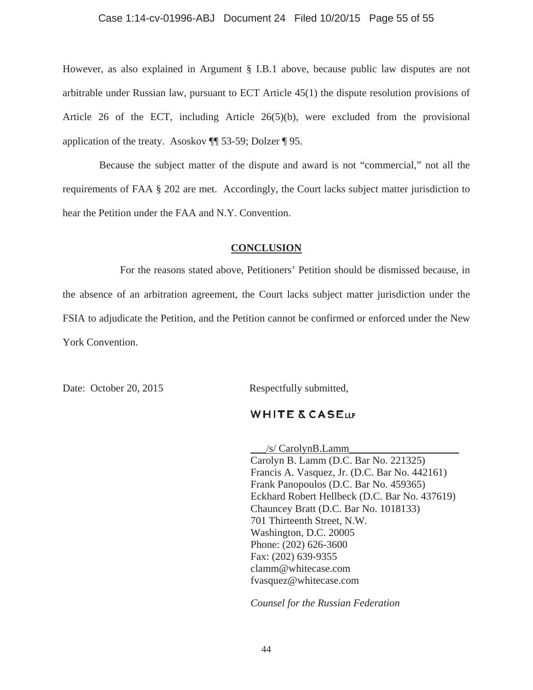## Case 1:14-cv-01996-ABJ Document 24 Filed 10/20/15 Page 55 of 55

However, as also explained in Argument § I.B.1 above, because public law disputes are not arbitrable under Russian law, pursuant to ECT Article 45(1) the dispute resolution provisions of Article 26 of the ECT, including Article 26(5)(b), were excluded from the provisional application of the treaty. Asoskov ¶¶ 53-59; Dolzer ¶ 95.

 Because the subject matter of the dispute and award is not "commercial," not all the requirements of FAA § 202 are met. Accordingly, the Court lacks subject matter jurisdiction to hear the Petition under the FAA and N.Y. Convention.

### **CONCLUSION**

 For the reasons stated above, Petitioners' Petition should be dismissed because, in the absence of an arbitration agreement, the Court lacks subject matter jurisdiction under the FSIA to adjudicate the Petition, and the Petition cannot be confirmed or enforced under the New York Convention.

Date: October 20, 2015 Respectfully submitted,

## **WHITE & CASELLP**

 $\frac{1}{s}$  CarolynB.Lamm Carolyn B. Lamm (D.C. Bar No. 221325) Francis A. Vasquez, Jr. (D.C. Bar No. 442161) Frank Panopoulos (D.C. Bar No. 459365) Eckhard Robert Hellbeck (D.C. Bar No. 437619) Chauncey Bratt (D.C. Bar No. 1018133) 701 Thirteenth Street, N.W. Washington, D.C. 20005 Phone: (202) 626-3600 Fax: (202) 639-9355 clamm@whitecase.com fvasquez@whitecase.com

*Counsel for the Russian Federation*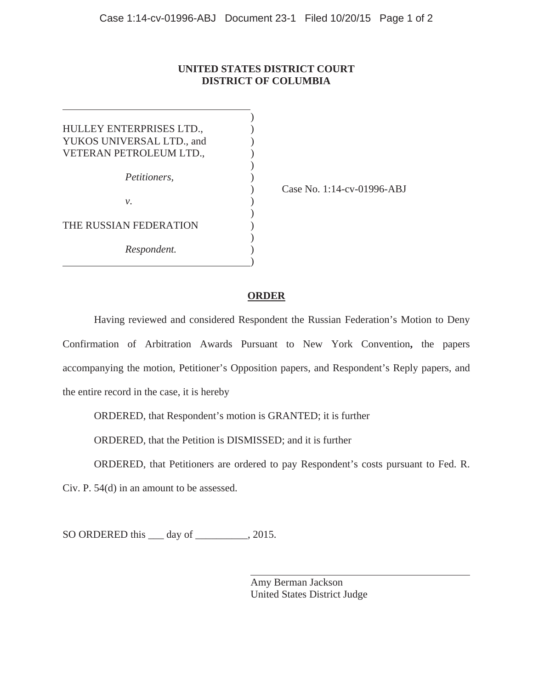# **UNITED STATES DISTRICT COURT DISTRICT OF COLUMBIA**

| HULLEY ENTERPRISES LTD.,  |  |
|---------------------------|--|
| YUKOS UNIVERSAL LTD., and |  |
| VETERAN PETROLEUM LTD.,   |  |
|                           |  |
| Petitioners,              |  |
|                           |  |
| ν.                        |  |
|                           |  |
| THE RUSSIAN FEDERATION    |  |
|                           |  |
| Respondent.               |  |
|                           |  |

) Case No. 1:14-cv-01996-ABJ

## **ORDER**

Having reviewed and considered Respondent the Russian Federation's Motion to Deny Confirmation of Arbitration Awards Pursuant to New York Convention**,** the papers accompanying the motion, Petitioner's Opposition papers, and Respondent's Reply papers, and the entire record in the case, it is hereby

ORDERED, that Respondent's motion is GRANTED; it is further

ORDERED, that the Petition is DISMISSED; and it is further

ORDERED, that Petitioners are ordered to pay Respondent's costs pursuant to Fed. R.

Civ. P. 54(d) in an amount to be assessed.

SO ORDERED this <u>quality</u> day of \_\_\_\_\_\_\_\_, 2015.

 Amy Berman Jackson United States District Judge